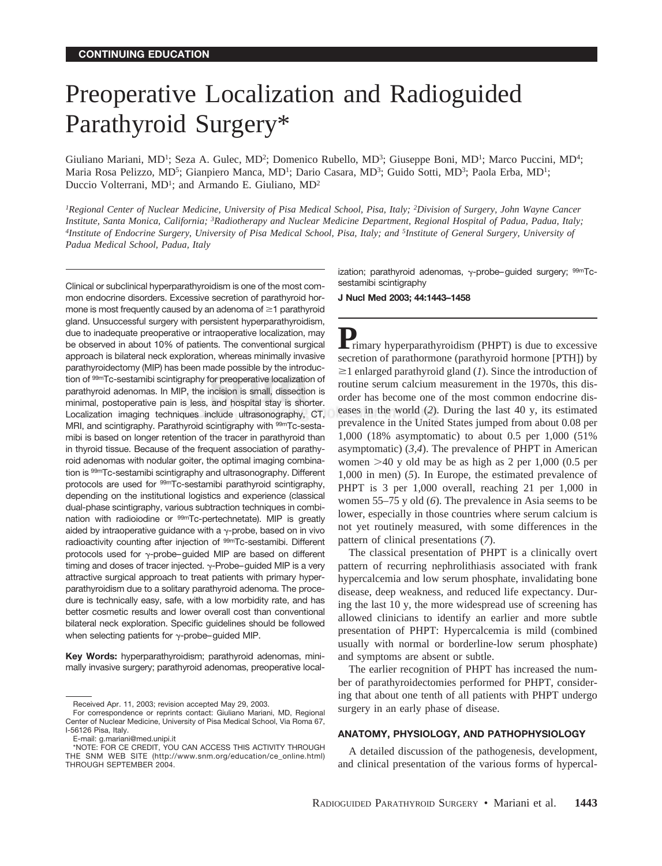# Preoperative Localization and Radioguided Parathyroid Surgery\*

Giuliano Mariani, MD<sup>1</sup>; Seza A. Gulec, MD<sup>2</sup>; Domenico Rubello, MD<sup>3</sup>; Giuseppe Boni, MD<sup>1</sup>; Marco Puccini, MD<sup>4</sup>; Maria Rosa Pelizzo, MD<sup>5</sup>; Gianpiero Manca, MD<sup>1</sup>; Dario Casara, MD<sup>3</sup>; Guido Sotti, MD<sup>3</sup>; Paola Erba, MD<sup>1</sup>; Duccio Volterrani, MD<sup>1</sup>; and Armando E. Giuliano, MD<sup>2</sup>

*1Regional Center of Nuclear Medicine, University of Pisa Medical School, Pisa, Italy; 2Division of Surgery, John Wayne Cancer Institute, Santa Monica, California; 3Radiotherapy and Nuclear Medicine Department, Regional Hospital of Padua, Padua, Italy; 4Institute of Endocrine Surgery, University of Pisa Medical School, Pisa, Italy; and 5Institute of General Surgery, University of Padua Medical School, Padua, Italy*

Clinical or subclinical hyperparathyroidism is one of the most common endocrine disorders. Excessive secretion of parathyroid hormone is most frequently caused by an adenoma of  $\geq 1$  parathyroid gland. Unsuccessful surgery with persistent hyperparathyroidism, due to inadequate preoperative or intraoperative localization, may be observed in about 10% of patients. The conventional surgical approach is bilateral neck exploration, whereas minimally invasive parathyroidectomy (MIP) has been made possible by the introduction of 99mTc-sestamibi scintigraphy for preoperative localization of parathyroid adenomas. In MIP, the incision is small, dissection is minimal, postoperative pain is less, and hospital stay is shorter. Localization imaging techniques include ultrasonography, CT, MRI, and scintigraphy. Parathyroid scintigraphy with 99mTc-sestamibi is based on longer retention of the tracer in parathyroid than in thyroid tissue. Because of the frequent association of parathyroid adenomas with nodular goiter, the optimal imaging combination is 99mTc-sestamibi scintigraphy and ultrasonography. Different protocols are used for 99mTc-sestamibi parathyroid scintigraphy, depending on the institutional logistics and experience (classical dual-phase scintigraphy, various subtraction techniques in combination with radioiodine or <sup>99m</sup>Tc-pertechnetate). MIP is greatly aided by intraoperative guidance with a  $\gamma$ -probe, based on in vivo radioactivity counting after injection of <sup>99m</sup>Tc-sestamibi. Different protocols used for  $\gamma$ -probe–guided MIP are based on different timing and doses of tracer injected.  $\gamma$ -Probe–guided MIP is a very attractive surgical approach to treat patients with primary hyperparathyroidism due to a solitary parathyroid adenoma. The procedure is technically easy, safe, with a low morbidity rate, and has better cosmetic results and lower overall cost than conventional bilateral neck exploration. Specific guidelines should be followed when selecting patients for  $\gamma$ -probe–guided MIP.

**Key Words:** hyperparathyroidism; parathyroid adenomas, minimally invasive surgery; parathyroid adenomas, preoperative local-

E-mail: g.mariani@med.unipi.it

ization; parathyroid adenomas,  $\gamma$ -probe–quided surgery;  $99mTc$ sestamibi scintigraphy

**J Nucl Med 2003; 44:1443–1458**

**P**<br>**P**rimary hyperparathyroidism (PHPT) is due to excessive secretion of parathormone (parathyroid hormone [PTH]) by  $\geq$ 1 enlarged parathyroid gland (*1*). Since the introduction of routine serum calcium measurement in the 1970s, this disorder has become one of the most common endocrine diseases in the world (*2*). During the last 40 y, its estimated prevalence in the United States jumped from about 0.08 per 1,000 (18% asymptomatic) to about 0.5 per 1,000 (51% asymptomatic) (*3,4*). The prevalence of PHPT in American women  $>40$  y old may be as high as 2 per 1,000 (0.5 per 1,000 in men) (*5*). In Europe, the estimated prevalence of PHPT is 3 per 1,000 overall, reaching 21 per 1,000 in women 55–75 y old (*6*). The prevalence in Asia seems to be lower, especially in those countries where serum calcium is not yet routinely measured, with some differences in the pattern of clinical presentations (*7*).

The classical presentation of PHPT is a clinically overt pattern of recurring nephrolithiasis associated with frank hypercalcemia and low serum phosphate, invalidating bone disease, deep weakness, and reduced life expectancy. During the last 10 y, the more widespread use of screening has allowed clinicians to identify an earlier and more subtle presentation of PHPT: Hypercalcemia is mild (combined usually with normal or borderline-low serum phosphate) and symptoms are absent or subtle.

The earlier recognition of PHPT has increased the number of parathyroidectomies performed for PHPT, considering that about one tenth of all patients with PHPT undergo surgery in an early phase of disease.

## **ANATOMY, PHYSIOLOGY, AND PATHOPHYSIOLOGY**

A detailed discussion of the pathogenesis, development, and clinical presentation of the various forms of hypercal-

Received Apr. 11, 2003; revision accepted May 29, 2003.

For correspondence or reprints contact: Giuliano Mariani, MD, Regional Center of Nuclear Medicine, University of Pisa Medical School, Via Roma 67, I-56126 Pisa, Italy.

<sup>\*</sup>NOTE: FOR CE CREDIT, YOU CAN ACCESS THIS ACTIVITY THROUGH THE SNM WEB SITE (http://www.snm.org/education/ce\_online.html) THROUGH SEPTEMBER 2004.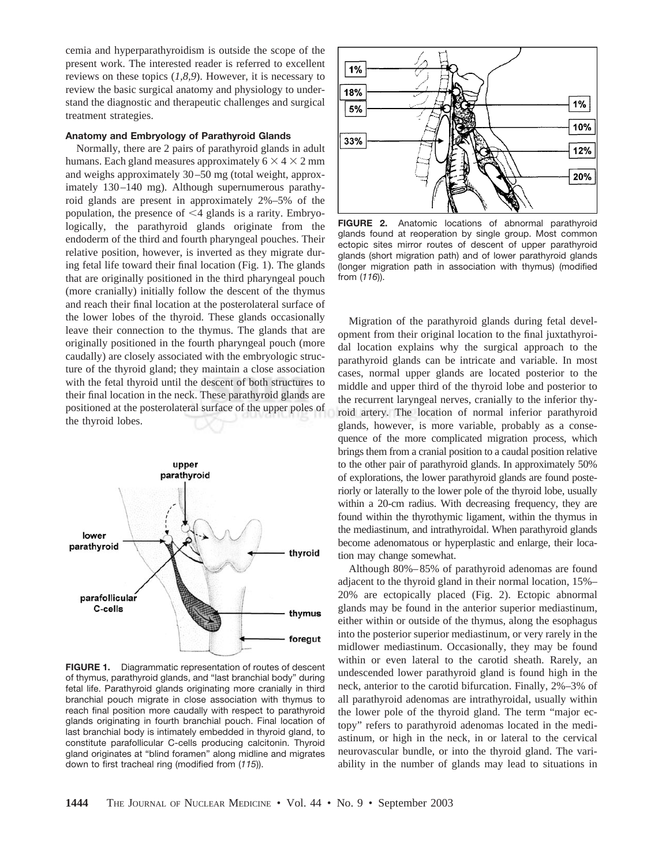cemia and hyperparathyroidism is outside the scope of the present work. The interested reader is referred to excellent reviews on these topics (*1,8,9*). However, it is necessary to review the basic surgical anatomy and physiology to understand the diagnostic and therapeutic challenges and surgical treatment strategies.

## **Anatomy and Embryology of Parathyroid Glands**

Normally, there are 2 pairs of parathyroid glands in adult humans. Each gland measures approximately  $6 \times 4 \times 2$  mm and weighs approximately 30–50 mg (total weight, approximately 130–140 mg). Although supernumerous parathyroid glands are present in approximately 2%–5% of the population, the presence of  $\leq$ 4 glands is a rarity. Embryologically, the parathyroid glands originate from the endoderm of the third and fourth pharyngeal pouches. Their relative position, however, is inverted as they migrate during fetal life toward their final location (Fig. 1). The glands that are originally positioned in the third pharyngeal pouch (more cranially) initially follow the descent of the thymus and reach their final location at the posterolateral surface of the lower lobes of the thyroid. These glands occasionally leave their connection to the thymus. The glands that are originally positioned in the fourth pharyngeal pouch (more caudally) are closely associated with the embryologic structure of the thyroid gland; they maintain a close association with the fetal thyroid until the descent of both structures to their final location in the neck. These parathyroid glands are positioned at the posterolateral surface of the upper poles of the thyroid lobes.



**FIGURE 1.** Diagrammatic representation of routes of descent of thymus, parathyroid glands, and "last branchial body" during fetal life. Parathyroid glands originating more cranially in third branchial pouch migrate in close association with thymus to reach final position more caudally with respect to parathyroid glands originating in fourth branchial pouch. Final location of last branchial body is intimately embedded in thyroid gland, to constitute parafollicular C-cells producing calcitonin. Thyroid gland originates at "blind foramen" along midline and migrates down to first tracheal ring (modified from (*115*)).



**FIGURE 2.** Anatomic locations of abnormal parathyroid glands found at reoperation by single group. Most common ectopic sites mirror routes of descent of upper parathyroid glands (short migration path) and of lower parathyroid glands (longer migration path in association with thymus) (modified from (*116*)).

Migration of the parathyroid glands during fetal development from their original location to the final juxtathyroidal location explains why the surgical approach to the parathyroid glands can be intricate and variable. In most cases, normal upper glands are located posterior to the middle and upper third of the thyroid lobe and posterior to the recurrent laryngeal nerves, cranially to the inferior thyroid artery. The location of normal inferior parathyroid glands, however, is more variable, probably as a consequence of the more complicated migration process, which brings them from a cranial position to a caudal position relative to the other pair of parathyroid glands. In approximately 50% of explorations, the lower parathyroid glands are found posteriorly or laterally to the lower pole of the thyroid lobe, usually within a 20-cm radius. With decreasing frequency, they are found within the thyrothymic ligament, within the thymus in the mediastinum, and intrathyroidal. When parathyroid glands become adenomatous or hyperplastic and enlarge, their location may change somewhat.

Although 80%–85% of parathyroid adenomas are found adjacent to the thyroid gland in their normal location, 15%– 20% are ectopically placed (Fig. 2). Ectopic abnormal glands may be found in the anterior superior mediastinum, either within or outside of the thymus, along the esophagus into the posterior superior mediastinum, or very rarely in the midlower mediastinum. Occasionally, they may be found within or even lateral to the carotid sheath. Rarely, an undescended lower parathyroid gland is found high in the neck, anterior to the carotid bifurcation. Finally, 2%–3% of all parathyroid adenomas are intrathyroidal, usually within the lower pole of the thyroid gland. The term "major ectopy" refers to parathyroid adenomas located in the mediastinum, or high in the neck, in or lateral to the cervical neurovascular bundle, or into the thyroid gland. The variability in the number of glands may lead to situations in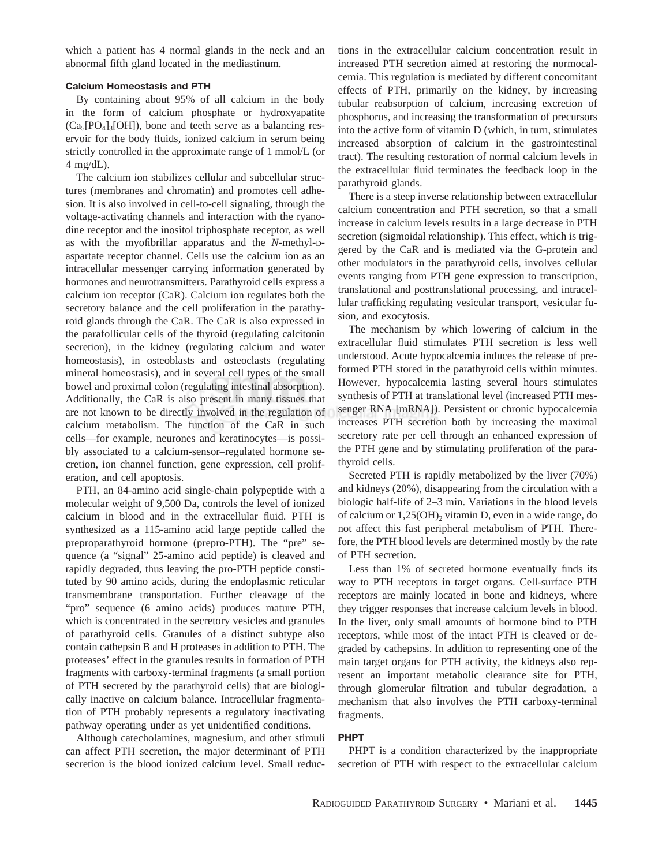which a patient has 4 normal glands in the neck and an abnormal fifth gland located in the mediastinum.

# **Calcium Homeostasis and PTH**

By containing about 95% of all calcium in the body in the form of calcium phosphate or hydroxyapatite  $(Ca_5[PO_4]_3[OH]$ , bone and teeth serve as a balancing reservoir for the body fluids, ionized calcium in serum being strictly controlled in the approximate range of 1 mmol/L (or 4 mg/dL).

The calcium ion stabilizes cellular and subcellular structures (membranes and chromatin) and promotes cell adhesion. It is also involved in cell-to-cell signaling, through the voltage-activating channels and interaction with the ryanodine receptor and the inositol triphosphate receptor, as well as with the myofibrillar apparatus and the *N*-methyl-Daspartate receptor channel. Cells use the calcium ion as an intracellular messenger carrying information generated by hormones and neurotransmitters. Parathyroid cells express a calcium ion receptor (CaR). Calcium ion regulates both the secretory balance and the cell proliferation in the parathyroid glands through the CaR. The CaR is also expressed in the parafollicular cells of the thyroid (regulating calcitonin secretion), in the kidney (regulating calcium and water homeostasis), in osteoblasts and osteoclasts (regulating mineral homeostasis), and in several cell types of the small bowel and proximal colon (regulating intestinal absorption). Additionally, the CaR is also present in many tissues that are not known to be directly involved in the regulation of calcium metabolism. The function of the CaR in such cells—for example, neurones and keratinocytes—is possibly associated to a calcium-sensor–regulated hormone secretion, ion channel function, gene expression, cell proliferation, and cell apoptosis.

PTH, an 84-amino acid single-chain polypeptide with a molecular weight of 9,500 Da, controls the level of ionized calcium in blood and in the extracellular fluid. PTH is synthesized as a 115-amino acid large peptide called the preproparathyroid hormone (prepro-PTH). The "pre" sequence (a "signal" 25-amino acid peptide) is cleaved and rapidly degraded, thus leaving the pro-PTH peptide constituted by 90 amino acids, during the endoplasmic reticular transmembrane transportation. Further cleavage of the "pro" sequence (6 amino acids) produces mature PTH, which is concentrated in the secretory vesicles and granules of parathyroid cells. Granules of a distinct subtype also contain cathepsin B and H proteases in addition to PTH. The proteases' effect in the granules results in formation of PTH fragments with carboxy-terminal fragments (a small portion of PTH secreted by the parathyroid cells) that are biologically inactive on calcium balance. Intracellular fragmentation of PTH probably represents a regulatory inactivating pathway operating under as yet unidentified conditions.

Although catecholamines, magnesium, and other stimuli can affect PTH secretion, the major determinant of PTH secretion is the blood ionized calcium level. Small reductions in the extracellular calcium concentration result in increased PTH secretion aimed at restoring the normocalcemia. This regulation is mediated by different concomitant effects of PTH, primarily on the kidney, by increasing tubular reabsorption of calcium, increasing excretion of phosphorus, and increasing the transformation of precursors into the active form of vitamin D (which, in turn, stimulates increased absorption of calcium in the gastrointestinal tract). The resulting restoration of normal calcium levels in the extracellular fluid terminates the feedback loop in the parathyroid glands.

There is a steep inverse relationship between extracellular calcium concentration and PTH secretion, so that a small increase in calcium levels results in a large decrease in PTH secretion (sigmoidal relationship). This effect, which is triggered by the CaR and is mediated via the G-protein and other modulators in the parathyroid cells, involves cellular events ranging from PTH gene expression to transcription, translational and posttranslational processing, and intracellular trafficking regulating vesicular transport, vesicular fusion, and exocytosis.

The mechanism by which lowering of calcium in the extracellular fluid stimulates PTH secretion is less well understood. Acute hypocalcemia induces the release of preformed PTH stored in the parathyroid cells within minutes. However, hypocalcemia lasting several hours stimulates synthesis of PTH at translational level (increased PTH messenger RNA [mRNA]). Persistent or chronic hypocalcemia increases PTH secretion both by increasing the maximal secretory rate per cell through an enhanced expression of the PTH gene and by stimulating proliferation of the parathyroid cells.

Secreted PTH is rapidly metabolized by the liver (70%) and kidneys (20%), disappearing from the circulation with a biologic half-life of 2–3 min. Variations in the blood levels of calcium or  $1,25(OH)_2$  vitamin D, even in a wide range, do not affect this fast peripheral metabolism of PTH. Therefore, the PTH blood levels are determined mostly by the rate of PTH secretion.

Less than 1% of secreted hormone eventually finds its way to PTH receptors in target organs. Cell-surface PTH receptors are mainly located in bone and kidneys, where they trigger responses that increase calcium levels in blood. In the liver, only small amounts of hormone bind to PTH receptors, while most of the intact PTH is cleaved or degraded by cathepsins. In addition to representing one of the main target organs for PTH activity, the kidneys also represent an important metabolic clearance site for PTH, through glomerular filtration and tubular degradation, a mechanism that also involves the PTH carboxy-terminal fragments.

# **PHPT**

PHPT is a condition characterized by the inappropriate secretion of PTH with respect to the extracellular calcium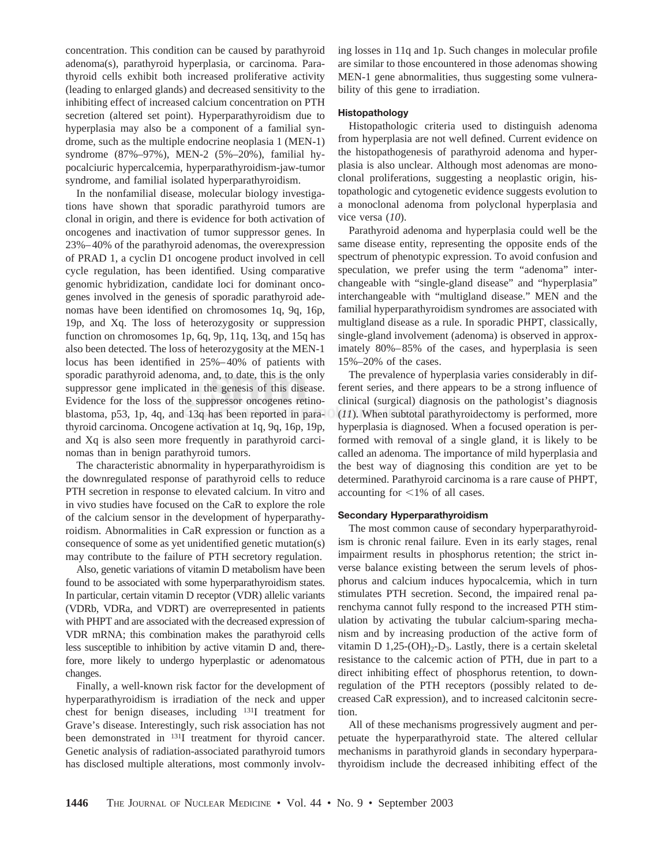concentration. This condition can be caused by parathyroid adenoma(s), parathyroid hyperplasia, or carcinoma. Parathyroid cells exhibit both increased proliferative activity (leading to enlarged glands) and decreased sensitivity to the inhibiting effect of increased calcium concentration on PTH secretion (altered set point). Hyperparathyroidism due to hyperplasia may also be a component of a familial syndrome, such as the multiple endocrine neoplasia 1 (MEN-1) syndrome (87%–97%), MEN-2 (5%–20%), familial hypocalciuric hypercalcemia, hyperparathyroidism-jaw-tumor syndrome, and familial isolated hyperparathyroidism.

In the nonfamilial disease, molecular biology investigations have shown that sporadic parathyroid tumors are clonal in origin, and there is evidence for both activation of oncogenes and inactivation of tumor suppressor genes. In 23%–40% of the parathyroid adenomas, the overexpression of PRAD 1, a cyclin D1 oncogene product involved in cell cycle regulation, has been identified. Using comparative genomic hybridization, candidate loci for dominant oncogenes involved in the genesis of sporadic parathyroid adenomas have been identified on chromosomes 1q, 9q, 16p, 19p, and Xq. The loss of heterozygosity or suppression function on chromosomes 1p, 6q, 9p, 11q, 13q, and 15q has also been detected. The loss of heterozygosity at the MEN-1 locus has been identified in 25%–40% of patients with sporadic parathyroid adenoma, and, to date, this is the only suppressor gene implicated in the genesis of this disease. Evidence for the loss of the suppressor oncogenes retinoblastoma, p53, 1p, 4q, and 13q has been reported in parathyroid carcinoma. Oncogene activation at 1q, 9q, 16p, 19p, and Xq is also seen more frequently in parathyroid carcinomas than in benign parathyroid tumors.

The characteristic abnormality in hyperparathyroidism is the downregulated response of parathyroid cells to reduce PTH secretion in response to elevated calcium. In vitro and in vivo studies have focused on the CaR to explore the role of the calcium sensor in the development of hyperparathyroidism. Abnormalities in CaR expression or function as a consequence of some as yet unidentified genetic mutation(s) may contribute to the failure of PTH secretory regulation.

Also, genetic variations of vitamin D metabolism have been found to be associated with some hyperparathyroidism states. In particular, certain vitamin D receptor (VDR) allelic variants (VDRb, VDRa, and VDRT) are overrepresented in patients with PHPT and are associated with the decreased expression of VDR mRNA; this combination makes the parathyroid cells less susceptible to inhibition by active vitamin D and, therefore, more likely to undergo hyperplastic or adenomatous changes.

Finally, a well-known risk factor for the development of hyperparathyroidism is irradiation of the neck and upper chest for benign diseases, including 131I treatment for Grave's disease. Interestingly, such risk association has not been demonstrated in 131I treatment for thyroid cancer. Genetic analysis of radiation-associated parathyroid tumors has disclosed multiple alterations, most commonly involving losses in 11q and 1p. Such changes in molecular profile are similar to those encountered in those adenomas showing MEN-1 gene abnormalities, thus suggesting some vulnerability of this gene to irradiation.

## **Histopathology**

Histopathologic criteria used to distinguish adenoma from hyperplasia are not well defined. Current evidence on the histopathogenesis of parathyroid adenoma and hyperplasia is also unclear. Although most adenomas are monoclonal proliferations, suggesting a neoplastic origin, histopathologic and cytogenetic evidence suggests evolution to a monoclonal adenoma from polyclonal hyperplasia and vice versa (*10*).

Parathyroid adenoma and hyperplasia could well be the same disease entity, representing the opposite ends of the spectrum of phenotypic expression. To avoid confusion and speculation, we prefer using the term "adenoma" interchangeable with "single-gland disease" and "hyperplasia" interchangeable with "multigland disease." MEN and the familial hyperparathyroidism syndromes are associated with multigland disease as a rule. In sporadic PHPT, classically, single-gland involvement (adenoma) is observed in approximately 80%–85% of the cases, and hyperplasia is seen 15%–20% of the cases.

The prevalence of hyperplasia varies considerably in different series, and there appears to be a strong influence of clinical (surgical) diagnosis on the pathologist's diagnosis (*11*). When subtotal parathyroidectomy is performed, more hyperplasia is diagnosed. When a focused operation is performed with removal of a single gland, it is likely to be called an adenoma. The importance of mild hyperplasia and the best way of diagnosing this condition are yet to be determined. Parathyroid carcinoma is a rare cause of PHPT, accounting for  $\leq$ 1% of all cases.

#### **Secondary Hyperparathyroidism**

The most common cause of secondary hyperparathyroidism is chronic renal failure. Even in its early stages, renal impairment results in phosphorus retention; the strict inverse balance existing between the serum levels of phosphorus and calcium induces hypocalcemia, which in turn stimulates PTH secretion. Second, the impaired renal parenchyma cannot fully respond to the increased PTH stimulation by activating the tubular calcium-sparing mechanism and by increasing production of the active form of vitamin D  $1,25\text{-}(OH)_{2}$ -D<sub>3</sub>. Lastly, there is a certain skeletal resistance to the calcemic action of PTH, due in part to a direct inhibiting effect of phosphorus retention, to downregulation of the PTH receptors (possibly related to decreased CaR expression), and to increased calcitonin secretion.

All of these mechanisms progressively augment and perpetuate the hyperparathyroid state. The altered cellular mechanisms in parathyroid glands in secondary hyperparathyroidism include the decreased inhibiting effect of the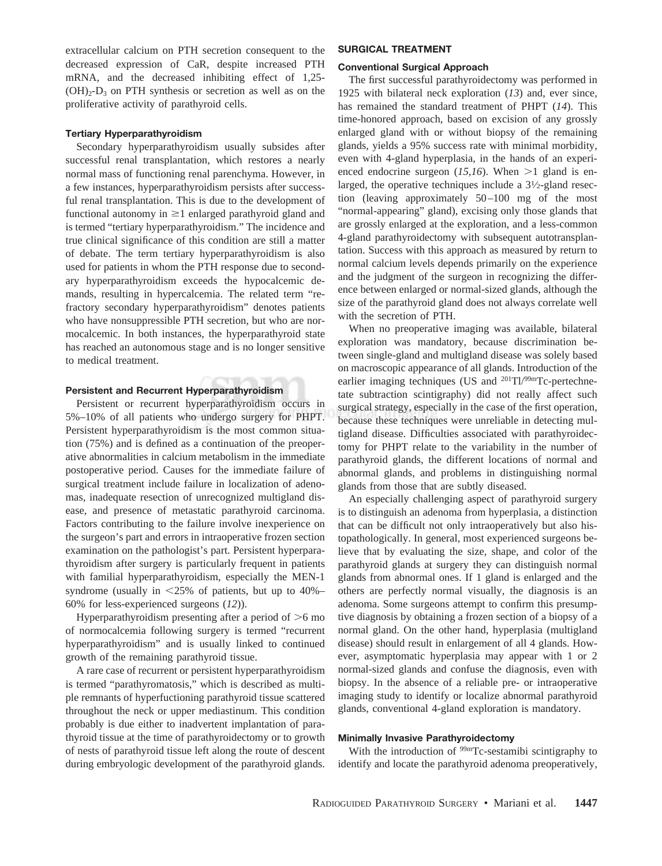extracellular calcium on PTH secretion consequent to the decreased expression of CaR, despite increased PTH mRNA, and the decreased inhibiting effect of 1,25-  $(OH)<sub>2</sub>-D<sub>3</sub>$  on PTH synthesis or secretion as well as on the proliferative activity of parathyroid cells.

# **Tertiary Hyperparathyroidism**

Secondary hyperparathyroidism usually subsides after successful renal transplantation, which restores a nearly normal mass of functioning renal parenchyma. However, in a few instances, hyperparathyroidism persists after successful renal transplantation. This is due to the development of functional autonomy in  $\geq 1$  enlarged parathyroid gland and is termed "tertiary hyperparathyroidism." The incidence and true clinical significance of this condition are still a matter of debate. The term tertiary hyperparathyroidism is also used for patients in whom the PTH response due to secondary hyperparathyroidism exceeds the hypocalcemic demands, resulting in hypercalcemia. The related term "refractory secondary hyperparathyroidism" denotes patients who have nonsuppressible PTH secretion, but who are normocalcemic. In both instances, the hyperparathyroid state has reached an autonomous stage and is no longer sensitive to medical treatment.

# **Persistent and Recurrent Hyperparathyroidism**

Persistent or recurrent hyperparathyroidism occurs in 5%–10% of all patients who undergo surgery for PHPT. Persistent hyperparathyroidism is the most common situation (75%) and is defined as a continuation of the preoperative abnormalities in calcium metabolism in the immediate postoperative period. Causes for the immediate failure of surgical treatment include failure in localization of adenomas, inadequate resection of unrecognized multigland disease, and presence of metastatic parathyroid carcinoma. Factors contributing to the failure involve inexperience on the surgeon's part and errors in intraoperative frozen section examination on the pathologist's part. Persistent hyperparathyroidism after surgery is particularly frequent in patients with familial hyperparathyroidism, especially the MEN-1 syndrome (usually in  $\leq$  25% of patients, but up to 40%– 60% for less-experienced surgeons (*12*)).

Hyperparathyroidism presenting after a period of  $>6$  mo of normocalcemia following surgery is termed "recurrent hyperparathyroidism" and is usually linked to continued growth of the remaining parathyroid tissue.

A rare case of recurrent or persistent hyperparathyroidism is termed "parathyromatosis," which is described as multiple remnants of hyperfuctioning parathyroid tissue scattered throughout the neck or upper mediastinum. This condition probably is due either to inadvertent implantation of parathyroid tissue at the time of parathyroidectomy or to growth of nests of parathyroid tissue left along the route of descent during embryologic development of the parathyroid glands.

## **SURGICAL TREATMENT**

## **Conventional Surgical Approach**

The first successful parathyroidectomy was performed in 1925 with bilateral neck exploration (*13*) and, ever since, has remained the standard treatment of PHPT (*14*). This time-honored approach, based on excision of any grossly enlarged gland with or without biopsy of the remaining glands, yields a 95% success rate with minimal morbidity, even with 4-gland hyperplasia, in the hands of an experienced endocrine surgeon  $(15,16)$ . When  $>1$  gland is enlarged, the operative techniques include a  $3\frac{1}{2}$ -gland resection (leaving approximately 50–100 mg of the most "normal-appearing" gland), excising only those glands that are grossly enlarged at the exploration, and a less-common 4-gland parathyroidectomy with subsequent autotransplantation. Success with this approach as measured by return to normal calcium levels depends primarily on the experience and the judgment of the surgeon in recognizing the difference between enlarged or normal-sized glands, although the size of the parathyroid gland does not always correlate well with the secretion of PTH.

When no preoperative imaging was available, bilateral exploration was mandatory, because discrimination between single-gland and multigland disease was solely based on macroscopic appearance of all glands. Introduction of the earlier imaging techniques (US and <sup>201</sup>Tl/<sup>99m</sup>Tc-pertechnetate subtraction scintigraphy) did not really affect such surgical strategy, especially in the case of the first operation, because these techniques were unreliable in detecting multigland disease. Difficulties associated with parathyroidectomy for PHPT relate to the variability in the number of parathyroid glands, the different locations of normal and abnormal glands, and problems in distinguishing normal glands from those that are subtly diseased.

An especially challenging aspect of parathyroid surgery is to distinguish an adenoma from hyperplasia, a distinction that can be difficult not only intraoperatively but also histopathologically. In general, most experienced surgeons believe that by evaluating the size, shape, and color of the parathyroid glands at surgery they can distinguish normal glands from abnormal ones. If 1 gland is enlarged and the others are perfectly normal visually, the diagnosis is an adenoma. Some surgeons attempt to confirm this presumptive diagnosis by obtaining a frozen section of a biopsy of a normal gland. On the other hand, hyperplasia (multigland disease) should result in enlargement of all 4 glands. However, asymptomatic hyperplasia may appear with 1 or 2 normal-sized glands and confuse the diagnosis, even with biopsy. In the absence of a reliable pre- or intraoperative imaging study to identify or localize abnormal parathyroid glands, conventional 4-gland exploration is mandatory.

## **Minimally Invasive Parathyroidectomy**

With the introduction of <sup>99m</sup>Tc-sestamibi scintigraphy to identify and locate the parathyroid adenoma preoperatively,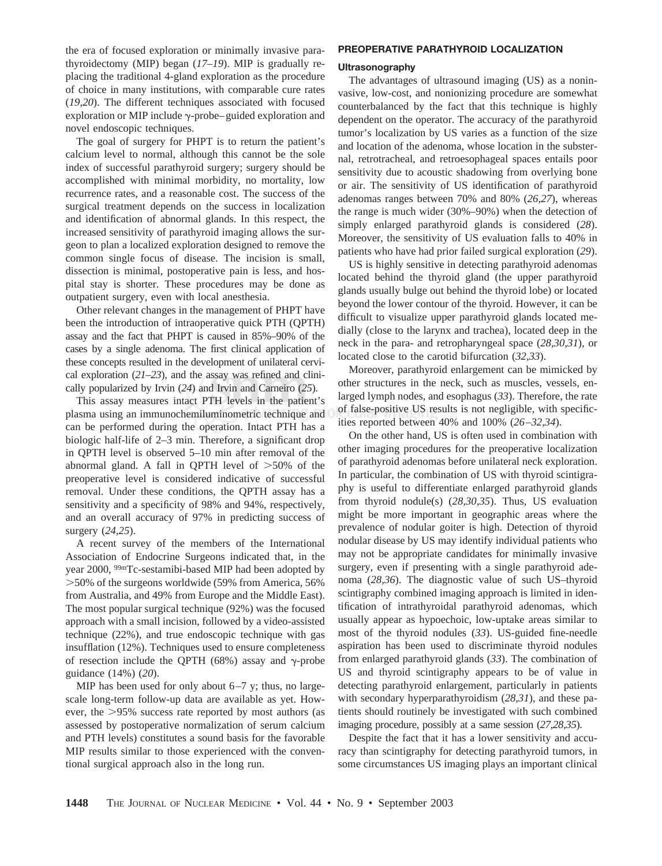the era of focused exploration or minimally invasive parathyroidectomy (MIP) began (*17–19*). MIP is gradually replacing the traditional 4-gland exploration as the procedure of choice in many institutions, with comparable cure rates (*19,20*). The different techniques associated with focused exploration or MIP include  $\gamma$ -probe–guided exploration and novel endoscopic techniques.

The goal of surgery for PHPT is to return the patient's calcium level to normal, although this cannot be the sole index of successful parathyroid surgery; surgery should be accomplished with minimal morbidity, no mortality, low recurrence rates, and a reasonable cost. The success of the surgical treatment depends on the success in localization and identification of abnormal glands. In this respect, the increased sensitivity of parathyroid imaging allows the surgeon to plan a localized exploration designed to remove the common single focus of disease. The incision is small, dissection is minimal, postoperative pain is less, and hospital stay is shorter. These procedures may be done as outpatient surgery, even with local anesthesia.

Other relevant changes in the management of PHPT have been the introduction of intraoperative quick PTH (QPTH) assay and the fact that PHPT is caused in 85%–90% of the cases by a single adenoma. The first clinical application of these concepts resulted in the development of unilateral cervical exploration (*21–23*), and the assay was refined and clinically popularized by Irvin (*24*) and Irvin and Carneiro (*25*).

This assay measures intact PTH levels in the patient's plasma using an immunochemiluminometric technique and can be performed during the operation. Intact PTH has a biologic half-life of 2–3 min. Therefore, a significant drop in QPTH level is observed 5–10 min after removal of the abnormal gland. A fall in QPTH level of  $>50\%$  of the preoperative level is considered indicative of successful removal. Under these conditions, the QPTH assay has a sensitivity and a specificity of 98% and 94%, respectively, and an overall accuracy of 97% in predicting success of surgery (*24,25*).

A recent survey of the members of the International Association of Endocrine Surgeons indicated that, in the year 2000, 99mTc-sestamibi-based MIP had been adopted by -50% of the surgeons worldwide (59% from America, 56% from Australia, and 49% from Europe and the Middle East). The most popular surgical technique (92%) was the focused approach with a small incision, followed by a video-assisted technique (22%), and true endoscopic technique with gas insufflation (12%). Techniques used to ensure completeness of resection include the QPTH (68%) assay and  $\gamma$ -probe guidance (14%) (*20*).

MIP has been used for only about  $6-7$  y; thus, no largescale long-term follow-up data are available as yet. However, the >95% success rate reported by most authors (as assessed by postoperative normalization of serum calcium and PTH levels) constitutes a sound basis for the favorable MIP results similar to those experienced with the conventional surgical approach also in the long run.

# **PREOPERATIVE PARATHYROID LOCALIZATION**

#### **Ultrasonography**

The advantages of ultrasound imaging (US) as a noninvasive, low-cost, and nonionizing procedure are somewhat counterbalanced by the fact that this technique is highly dependent on the operator. The accuracy of the parathyroid tumor's localization by US varies as a function of the size and location of the adenoma, whose location in the substernal, retrotracheal, and retroesophageal spaces entails poor sensitivity due to acoustic shadowing from overlying bone or air. The sensitivity of US identification of parathyroid adenomas ranges between 70% and 80% (*26,27*), whereas the range is much wider (30%–90%) when the detection of simply enlarged parathyroid glands is considered (*28*). Moreover, the sensitivity of US evaluation falls to 40% in patients who have had prior failed surgical exploration (*29*).

US is highly sensitive in detecting parathyroid adenomas located behind the thyroid gland (the upper parathyroid glands usually bulge out behind the thyroid lobe) or located beyond the lower contour of the thyroid. However, it can be difficult to visualize upper parathyroid glands located medially (close to the larynx and trachea), located deep in the neck in the para- and retropharyngeal space (*28,30,31*), or located close to the carotid bifurcation (*32,33*).

Moreover, parathyroid enlargement can be mimicked by other structures in the neck, such as muscles, vessels, enlarged lymph nodes, and esophagus (*33*). Therefore, the rate of false-positive US results is not negligible, with specificities reported between 40% and 100% (*26–32,34*).

On the other hand, US is often used in combination with other imaging procedures for the preoperative localization of parathyroid adenomas before unilateral neck exploration. In particular, the combination of US with thyroid scintigraphy is useful to differentiate enlarged parathyroid glands from thyroid nodule(s) (*28,30,35*). Thus, US evaluation might be more important in geographic areas where the prevalence of nodular goiter is high. Detection of thyroid nodular disease by US may identify individual patients who may not be appropriate candidates for minimally invasive surgery, even if presenting with a single parathyroid adenoma (*28,36*). The diagnostic value of such US–thyroid scintigraphy combined imaging approach is limited in identification of intrathyroidal parathyroid adenomas, which usually appear as hypoechoic, low-uptake areas similar to most of the thyroid nodules (*33*). US-guided fine-needle aspiration has been used to discriminate thyroid nodules from enlarged parathyroid glands (*33*). The combination of US and thyroid scintigraphy appears to be of value in detecting parathyroid enlargement, particularly in patients with secondary hyperparathyroidism (*28,31*), and these patients should routinely be investigated with such combined imaging procedure, possibly at a same session (*27,28,35*).

Despite the fact that it has a lower sensitivity and accuracy than scintigraphy for detecting parathyroid tumors, in some circumstances US imaging plays an important clinical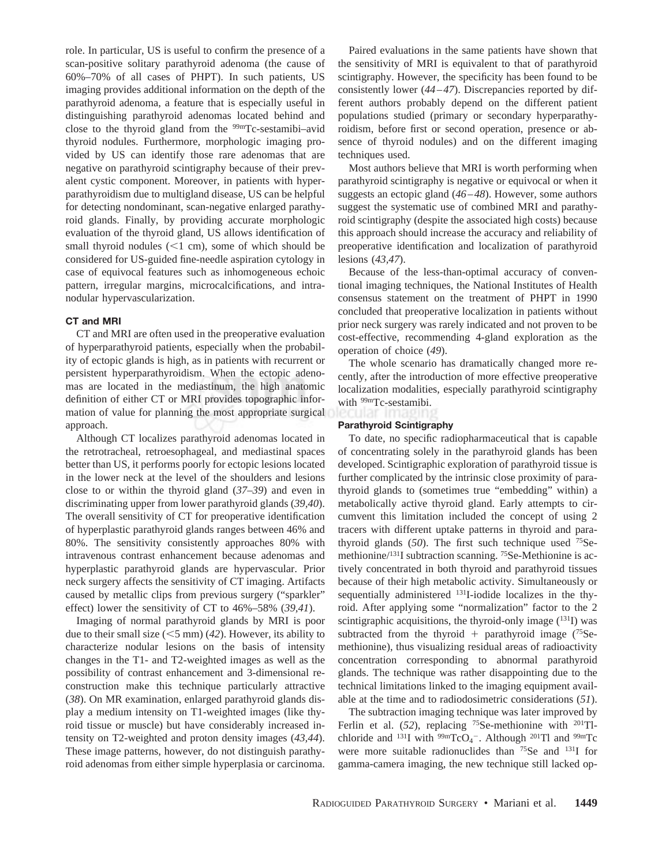role. In particular, US is useful to confirm the presence of a scan-positive solitary parathyroid adenoma (the cause of 60%–70% of all cases of PHPT). In such patients, US imaging provides additional information on the depth of the parathyroid adenoma, a feature that is especially useful in distinguishing parathyroid adenomas located behind and close to the thyroid gland from the <sup>99m</sup>Tc-sestamibi–avid thyroid nodules. Furthermore, morphologic imaging provided by US can identify those rare adenomas that are negative on parathyroid scintigraphy because of their prevalent cystic component. Moreover, in patients with hyperparathyroidism due to multigland disease, US can be helpful for detecting nondominant, scan-negative enlarged parathyroid glands. Finally, by providing accurate morphologic evaluation of the thyroid gland, US allows identification of small thyroid nodules  $(< 1$  cm), some of which should be considered for US-guided fine-needle aspiration cytology in case of equivocal features such as inhomogeneous echoic pattern, irregular margins, microcalcifications, and intranodular hypervascularization.

## **CT and MRI**

CT and MRI are often used in the preoperative evaluation of hyperparathyroid patients, especially when the probability of ectopic glands is high, as in patients with recurrent or persistent hyperparathyroidism. When the ectopic adenomas are located in the mediastinum, the high anatomic definition of either CT or MRI provides topographic information of value for planning the most appropriate surgical approach.

Although CT localizes parathyroid adenomas located in the retrotracheal, retroesophageal, and mediastinal spaces better than US, it performs poorly for ectopic lesions located in the lower neck at the level of the shoulders and lesions close to or within the thyroid gland (*37–39*) and even in discriminating upper from lower parathyroid glands (*39,40*). The overall sensitivity of CT for preoperative identification of hyperplastic parathyroid glands ranges between 46% and 80%. The sensitivity consistently approaches 80% with intravenous contrast enhancement because adenomas and hyperplastic parathyroid glands are hypervascular. Prior neck surgery affects the sensitivity of CT imaging. Artifacts caused by metallic clips from previous surgery ("sparkler" effect) lower the sensitivity of CT to 46%–58% (*39,41*).

Imaging of normal parathyroid glands by MRI is poor due to their small size  $(<5$  mm) (42). However, its ability to characterize nodular lesions on the basis of intensity changes in the T1- and T2-weighted images as well as the possibility of contrast enhancement and 3-dimensional reconstruction make this technique particularly attractive (*38*). On MR examination, enlarged parathyroid glands display a medium intensity on T1-weighted images (like thyroid tissue or muscle) but have considerably increased intensity on T2-weighted and proton density images (*43,44*). These image patterns, however, do not distinguish parathyroid adenomas from either simple hyperplasia or carcinoma.

Paired evaluations in the same patients have shown that the sensitivity of MRI is equivalent to that of parathyroid scintigraphy. However, the specificity has been found to be consistently lower (*44–47*). Discrepancies reported by different authors probably depend on the different patient populations studied (primary or secondary hyperparathyroidism, before first or second operation, presence or absence of thyroid nodules) and on the different imaging techniques used.

Most authors believe that MRI is worth performing when parathyroid scintigraphy is negative or equivocal or when it suggests an ectopic gland (*46–48*). However, some authors suggest the systematic use of combined MRI and parathyroid scintigraphy (despite the associated high costs) because this approach should increase the accuracy and reliability of preoperative identification and localization of parathyroid lesions (*43,47*).

Because of the less-than-optimal accuracy of conventional imaging techniques, the National Institutes of Health consensus statement on the treatment of PHPT in 1990 concluded that preoperative localization in patients without prior neck surgery was rarely indicated and not proven to be cost-effective, recommending 4-gland exploration as the operation of choice (*49*).

The whole scenario has dramatically changed more recently, after the introduction of more effective preoperative localization modalities, especially parathyroid scintigraphy with <sup>99m</sup>Tc-sestamibi.

## **Parathyroid Scintigraphy**

To date, no specific radiopharmaceutical that is capable of concentrating solely in the parathyroid glands has been developed. Scintigraphic exploration of parathyroid tissue is further complicated by the intrinsic close proximity of parathyroid glands to (sometimes true "embedding" within) a metabolically active thyroid gland. Early attempts to circumvent this limitation included the concept of using 2 tracers with different uptake patterns in thyroid and parathyroid glands (*50*). The first such technique used 75Semethionine/<sup>131</sup>I subtraction scanning. <sup>75</sup>Se-Methionine is actively concentrated in both thyroid and parathyroid tissues because of their high metabolic activity. Simultaneously or sequentially administered <sup>131</sup>I-iodide localizes in the thyroid. After applying some "normalization" factor to the 2 scintigraphic acquisitions, the thyroid-only image  $(^{131}I)$  was subtracted from the thyroid  $+$  parathyroid image (<sup>75</sup>Semethionine), thus visualizing residual areas of radioactivity concentration corresponding to abnormal parathyroid glands. The technique was rather disappointing due to the technical limitations linked to the imaging equipment available at the time and to radiodosimetric considerations (*51*).

The subtraction imaging technique was later improved by Ferlin et al. (52), replacing <sup>75</sup>Se-methionine with <sup>201</sup>Tlchloride and <sup>131</sup>I with <sup>99m</sup>TcO<sub>4</sub><sup>-</sup>. Although <sup>201</sup>Tl and <sup>99m</sup>Tc were more suitable radionuclides than 75Se and 131I for gamma-camera imaging, the new technique still lacked op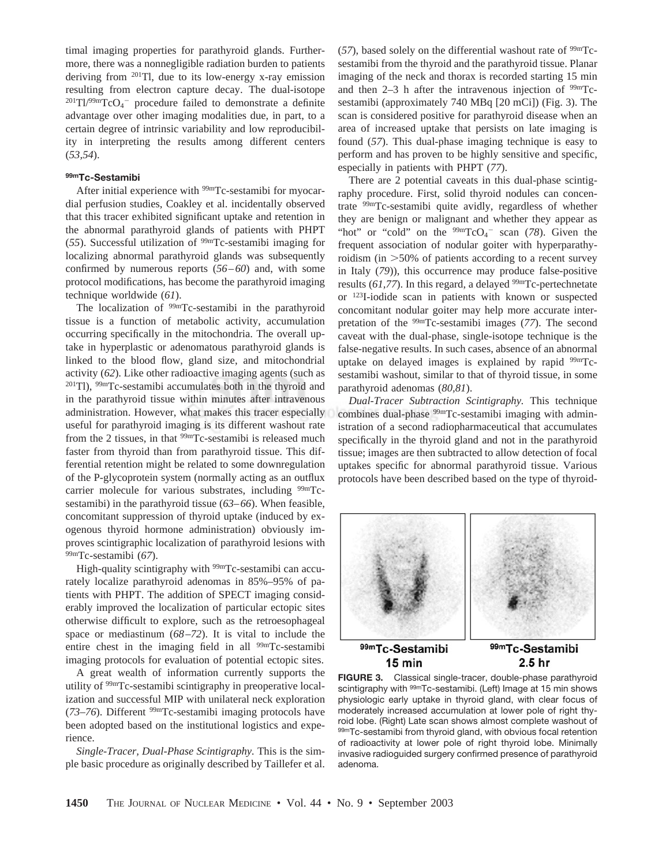timal imaging properties for parathyroid glands. Furthermore, there was a nonnegligible radiation burden to patients deriving from 201Tl, due to its low-energy x-ray emission resulting from electron capture decay. The dual-isotope  $^{201}$ Tl/<sup>99m</sup>TcO<sub>4</sub><sup>-</sup> procedure failed to demonstrate a definite advantage over other imaging modalities due, in part, to a certain degree of intrinsic variability and low reproducibility in interpreting the results among different centers (*53,54*).

# **99mTc-Sestamibi**

After initial experience with <sup>99m</sup>Tc-sestamibi for myocardial perfusion studies, Coakley et al. incidentally observed that this tracer exhibited significant uptake and retention in the abnormal parathyroid glands of patients with PHPT (*55*). Successful utilization of 99mTc-sestamibi imaging for localizing abnormal parathyroid glands was subsequently confirmed by numerous reports (*56–60*) and, with some protocol modifications, has become the parathyroid imaging technique worldwide (*61*).

The localization of  $99mTc$ -sestamibi in the parathyroid tissue is a function of metabolic activity, accumulation occurring specifically in the mitochondria. The overall uptake in hyperplastic or adenomatous parathyroid glands is linked to the blood flow, gland size, and mitochondrial activity (*62*). Like other radioactive imaging agents (such as 201Tl), 99mTc-sestamibi accumulates both in the thyroid and in the parathyroid tissue within minutes after intravenous administration. However, what makes this tracer especially useful for parathyroid imaging is its different washout rate from the 2 tissues, in that  $99mTc$ -sestamibi is released much faster from thyroid than from parathyroid tissue. This differential retention might be related to some downregulation of the P-glycoprotein system (normally acting as an outflux carrier molecule for various substrates, including <sup>99m</sup>Tcsestamibi) in the parathyroid tissue (*63–66*). When feasible, concomitant suppression of thyroid uptake (induced by exogenous thyroid hormone administration) obviously improves scintigraphic localization of parathyroid lesions with 99mTc-sestamibi (*67*).

High-quality scintigraphy with <sup>99m</sup>Tc-sestamibi can accurately localize parathyroid adenomas in 85%–95% of patients with PHPT. The addition of SPECT imaging considerably improved the localization of particular ectopic sites otherwise difficult to explore, such as the retroesophageal space or mediastinum (*68–72*). It is vital to include the entire chest in the imaging field in all <sup>99m</sup>Tc-sestamibi imaging protocols for evaluation of potential ectopic sites.

A great wealth of information currently supports the utility of 99mTc-sestamibi scintigraphy in preoperative localization and successful MIP with unilateral neck exploration (*73–76*). Different 99mTc-sestamibi imaging protocols have been adopted based on the institutional logistics and experience.

*Single-Tracer, Dual-Phase Scintigraphy.* This is the simple basic procedure as originally described by Taillefer et al.  $(57)$ , based solely on the differential washout rate of  $99<sup>cm</sup>$ Tcsestamibi from the thyroid and the parathyroid tissue. Planar imaging of the neck and thorax is recorded starting 15 min and then  $2-3$  h after the intravenous injection of  $99m$ Tcsestamibi (approximately 740 MBq [20 mCi]) (Fig. 3). The scan is considered positive for parathyroid disease when an area of increased uptake that persists on late imaging is found (*57*). This dual-phase imaging technique is easy to perform and has proven to be highly sensitive and specific, especially in patients with PHPT (*77*).

There are 2 potential caveats in this dual-phase scintigraphy procedure. First, solid thyroid nodules can concentrate 99mTc-sestamibi quite avidly, regardless of whether they are benign or malignant and whether they appear as "hot" or "cold" on the  $99mTcO<sub>4</sub>$ " scan (78). Given the frequent association of nodular goiter with hyperparathyroidism (in >50% of patients according to a recent survey in Italy (*79*)), this occurrence may produce false-positive results (61,77). In this regard, a delayed <sup>99m</sup>Tc-pertechnetate or 123I-iodide scan in patients with known or suspected concomitant nodular goiter may help more accurate interpretation of the 99mTc-sestamibi images (*77*). The second caveat with the dual-phase, single-isotope technique is the false-negative results. In such cases, absence of an abnormal uptake on delayed images is explained by rapid <sup>99m</sup>Tcsestamibi washout, similar to that of thyroid tissue, in some parathyroid adenomas (*80,81*).

*Dual-Tracer Subtraction Scintigraphy.* This technique combines dual-phase 99mTc-sestamibi imaging with administration of a second radiopharmaceutical that accumulates specifically in the thyroid gland and not in the parathyroid tissue; images are then subtracted to allow detection of focal uptakes specific for abnormal parathyroid tissue. Various protocols have been described based on the type of thyroid-



99mTc-Sestamibi 15 min

99mTc-Sestamibi 2.5 hr

**FIGURE 3.** Classical single-tracer, double-phase parathyroid scintigraphy with <sup>99m</sup>Tc-sestamibi. (Left) Image at 15 min shows physiologic early uptake in thyroid gland, with clear focus of moderately increased accumulation at lower pole of right thyroid lobe. (Right) Late scan shows almost complete washout of 99mTc-sestamibi from thyroid gland, with obvious focal retention of radioactivity at lower pole of right thyroid lobe. Minimally invasive radioguided surgery confirmed presence of parathyroid adenoma.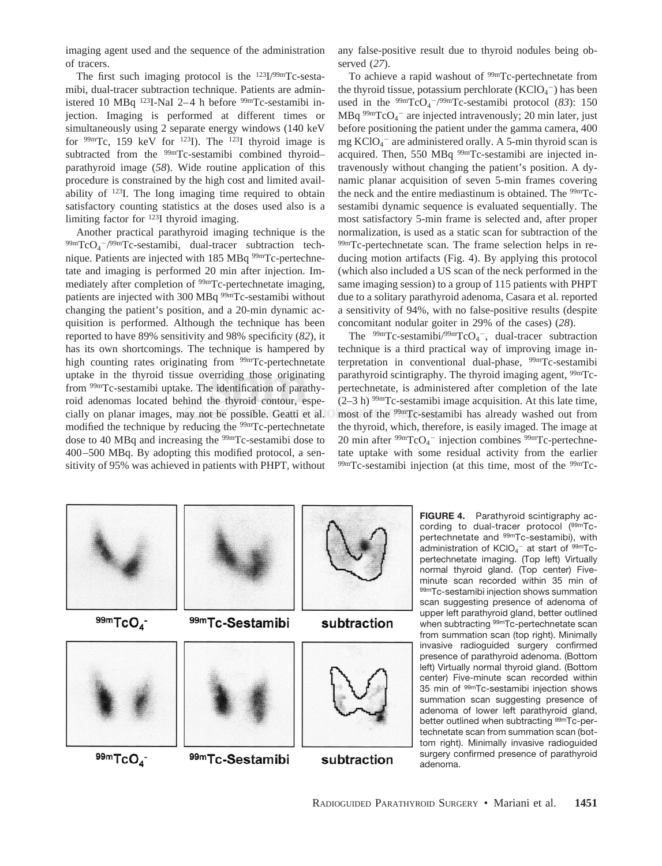imaging agent used and the sequence of the administration of tracers.

The first such imaging protocol is the  $123I/99mTc$ -sestamibi, dual-tracer subtraction technique. Patients are administered 10 MBq  $123$ I-NaI 2-4 h before  $99m$ Tc-sestamibi injection. Imaging is performed at different times or simultaneously using 2 separate energy windows (140 keV for  $99m$ Tc, 159 keV for  $123$ I). The  $123$ I thyroid image is subtracted from the <sup>99m</sup>Tc-sestamibi combined thyroidparathyroid image (*58*). Wide routine application of this procedure is constrained by the high cost and limited availability of 123I. The long imaging time required to obtain satisfactory counting statistics at the doses used also is a limiting factor for 123I thyroid imaging.

Another practical parathyroid imaging technique is the  $^{99m}TcO_4^{-/99m}Tc$ -sestamibi, dual-tracer subtraction technique. Patients are injected with 185 MBq <sup>99m</sup>Tc-pertechnetate and imaging is performed 20 min after injection. Immediately after completion of <sup>99m</sup>Tc-pertechnetate imaging, patients are injected with 300 MBq <sup>99m</sup>Tc-sestamibi without changing the patient's position, and a 20-min dynamic acquisition is performed. Although the technique has been reported to have 89% sensitivity and 98% specificity (*82*), it has its own shortcomings. The technique is hampered by high counting rates originating from <sup>99m</sup>Tc-pertechnetate uptake in the thyroid tissue overriding those originating from 99mTc-sestamibi uptake. The identification of parathyroid adenomas located behind the thyroid contour, especially on planar images, may not be possible. Geatti et al. modified the technique by reducing the <sup>99mT</sup>c-pertechnetate dose to 40 MBq and increasing the 99mTc-sestamibi dose to 400–500 MBq. By adopting this modified protocol, a sensitivity of 95% was achieved in patients with PHPT, without any false-positive result due to thyroid nodules being observed (*27*).

To achieve a rapid washout of <sup>99m</sup>Tc-pertechnetate from the thyroid tissue, potassium perchlorate  $(KClO<sub>4</sub><sup>-</sup>)$  has been used in the  $\frac{99 \text{m}}{\text{TCO}_4}$ <sup>-/99m</sup>Tc-sestamibi protocol (83): 150  $MBq^{99m}TcO<sub>4</sub>$  are injected intravenously; 20 min later, just before positioning the patient under the gamma camera, 400 mg KClO<sub>4</sub><sup>-</sup> are administered orally. A 5-min thyroid scan is acquired. Then, 550 MBq <sup>99m</sup>Tc-sestamibi are injected intravenously without changing the patient's position. A dynamic planar acquisition of seven 5-min frames covering the neck and the entire mediastinum is obtained. The <sup>99m</sup>Tcsestamibi dynamic sequence is evaluated sequentially. The most satisfactory 5-min frame is selected and, after proper normalization, is used as a static scan for subtraction of the 99mTc-pertechnetate scan. The frame selection helps in reducing motion artifacts (Fig. 4). By applying this protocol (which also included a US scan of the neck performed in the same imaging session) to a group of 115 patients with PHPT due to a solitary parathyroid adenoma, Casara et al. reported a sensitivity of 94%, with no false-positive results (despite concomitant nodular goiter in 29% of the cases) (*28*).

The  $99m$ Tc-sestamibi/ $99m$ TcO<sub>4</sub><sup>-</sup>, dual-tracer subtraction technique is a third practical way of improving image interpretation in conventional dual-phase, 99mTc-sestamibi parathyroid scintigraphy. The thyroid imaging agent, 99mTcpertechnetate, is administered after completion of the late  $(2-3 h)$  <sup>99m</sup>Tc-sestamibi image acquisition. At this late time, most of the 99mTc-sestamibi has already washed out from the thyroid, which, therefore, is easily imaged. The image at 20 min after <sup>99m</sup>TcO<sub>4</sub><sup>-</sup> injection combines <sup>99m</sup>Tc-pertechnetate uptake with some residual activity from the earlier  $99mTc$ -sestamibi injection (at this time, most of the  $99mTc$ -



**FIGURE 4.** Parathyroid scintigraphy according to dual-tracer protocol (99mTcpertechnetate and 99mTc-sestamibi), with administration of  $\mathsf{KClO_4}^-$  at start of  $^{99\mathsf{mTc}}$ pertechnetate imaging. (Top left) Virtually normal thyroid gland. (Top center) Fiveminute scan recorded within 35 min of 99mTc-sestamibi injection shows summation scan suggesting presence of adenoma of upper left parathyroid gland, better outlined when subtracting <sup>99m</sup>Tc-pertechnetate scan from summation scan (top right). Minimally invasive radioguided surgery confirmed presence of parathyroid adenoma. (Bottom left) Virtually normal thyroid gland. (Bottom center) Five-minute scan recorded within 35 min of 99mTc-sestamibi injection shows summation scan suggesting presence of adenoma of lower left parathyroid gland, better outlined when subtracting <sup>99m</sup>Tc-pertechnetate scan from summation scan (bottom right). Minimally invasive radioguided surgery confirmed presence of parathyroid adenoma.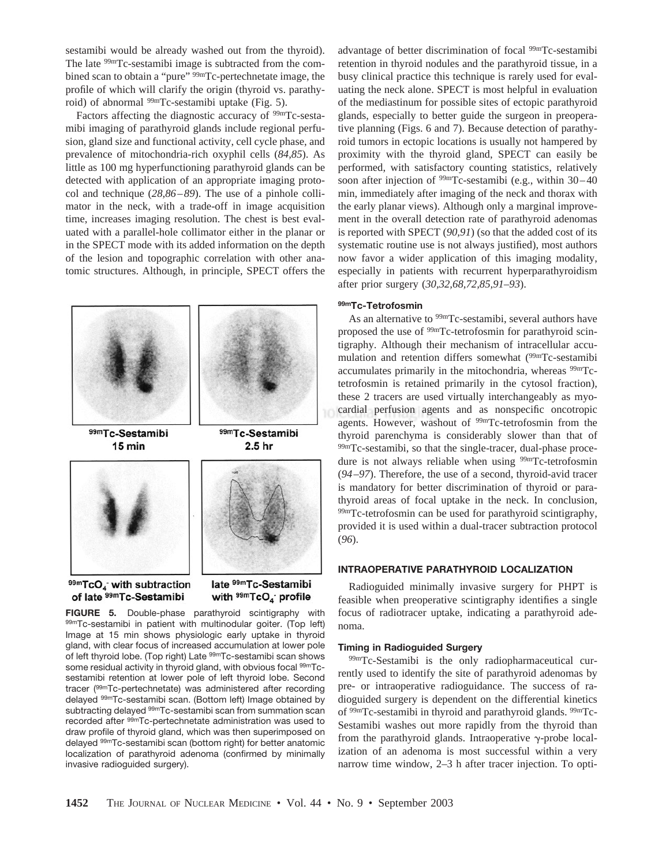sestamibi would be already washed out from the thyroid). The late  $99m$ Tc-sestamibi image is subtracted from the combined scan to obtain a "pure" 99mTc-pertechnetate image, the profile of which will clarify the origin (thyroid vs. parathyroid) of abnormal  $\frac{99 \text{m}}{\text{C}}$ -sestamibi uptake (Fig. 5).

Factors affecting the diagnostic accuracy of <sup>99m</sup>Tc-sestamibi imaging of parathyroid glands include regional perfusion, gland size and functional activity, cell cycle phase, and prevalence of mitochondria-rich oxyphil cells (*84,85*). As little as 100 mg hyperfunctioning parathyroid glands can be detected with application of an appropriate imaging protocol and technique (*28,86–89*). The use of a pinhole collimator in the neck, with a trade-off in image acquisition time, increases imaging resolution. The chest is best evaluated with a parallel-hole collimator either in the planar or in the SPECT mode with its added information on the depth of the lesion and topographic correlation with other anatomic structures. Although, in principle, SPECT offers the



**FIGURE 5.** Double-phase parathyroid scintigraphy with 99mTc-sestamibi in patient with multinodular goiter. (Top left) Image at 15 min shows physiologic early uptake in thyroid gland, with clear focus of increased accumulation at lower pole of left thyroid lobe. (Top right) Late <sup>99m</sup>Tc-sestamibi scan shows some residual activity in thyroid gland, with obvious focal  $99mTc$ sestamibi retention at lower pole of left thyroid lobe. Second tracer (99mTc-pertechnetate) was administered after recording delayed 99mTc-sestamibi scan. (Bottom left) Image obtained by subtracting delayed 99mTc-sestamibi scan from summation scan recorded after 99mTc-pertechnetate administration was used to draw profile of thyroid gland, which was then superimposed on delayed 99mTc-sestamibi scan (bottom right) for better anatomic localization of parathyroid adenoma (confirmed by minimally invasive radioguided surgery).

advantage of better discrimination of focal 99mTc-sestamibi retention in thyroid nodules and the parathyroid tissue, in a busy clinical practice this technique is rarely used for evaluating the neck alone. SPECT is most helpful in evaluation of the mediastinum for possible sites of ectopic parathyroid glands, especially to better guide the surgeon in preoperative planning (Figs. 6 and 7). Because detection of parathyroid tumors in ectopic locations is usually not hampered by proximity with the thyroid gland, SPECT can easily be performed, with satisfactory counting statistics, relatively soon after injection of <sup>99m</sup>Tc-sestamibi (e.g., within 30–40 min, immediately after imaging of the neck and thorax with the early planar views). Although only a marginal improvement in the overall detection rate of parathyroid adenomas is reported with SPECT (*90,91*) (so that the added cost of its systematic routine use is not always justified), most authors now favor a wider application of this imaging modality, especially in patients with recurrent hyperparathyroidism after prior surgery (*30,32,68,72,85,91–93*).

## **99mTc-Tetrofosmin**

As an alternative to <sup>99m</sup>Tc-sestamibi, several authors have proposed the use of 99mTc-tetrofosmin for parathyroid scintigraphy. Although their mechanism of intracellular accumulation and retention differs somewhat (99mTc-sestamibi accumulates primarily in the mitochondria, whereas <sup>99m</sup>Tctetrofosmin is retained primarily in the cytosol fraction), these 2 tracers are used virtually interchangeably as myocardial perfusion agents and as nonspecific oncotropic agents. However, washout of <sup>99mT</sup>c-tetrofosmin from the thyroid parenchyma is considerably slower than that of 99mTc-sestamibi, so that the single-tracer, dual-phase procedure is not always reliable when using <sup>99m</sup>Tc-tetrofosmin (*94–97*). Therefore, the use of a second, thyroid-avid tracer is mandatory for better discrimination of thyroid or parathyroid areas of focal uptake in the neck. In conclusion, 99mTc-tetrofosmin can be used for parathyroid scintigraphy, provided it is used within a dual-tracer subtraction protocol (*96*).

#### **INTRAOPERATIVE PARATHYROID LOCALIZATION**

Radioguided minimally invasive surgery for PHPT is feasible when preoperative scintigraphy identifies a single focus of radiotracer uptake, indicating a parathyroid adenoma.

### **Timing in Radioguided Surgery**

99mTc-Sestamibi is the only radiopharmaceutical currently used to identify the site of parathyroid adenomas by pre- or intraoperative radioguidance. The success of radioguided surgery is dependent on the differential kinetics of 99mTc-sestamibi in thyroid and parathyroid glands. 99mTc-Sestamibi washes out more rapidly from the thyroid than from the parathyroid glands. Intraoperative  $\gamma$ -probe localization of an adenoma is most successful within a very narrow time window, 2–3 h after tracer injection. To opti-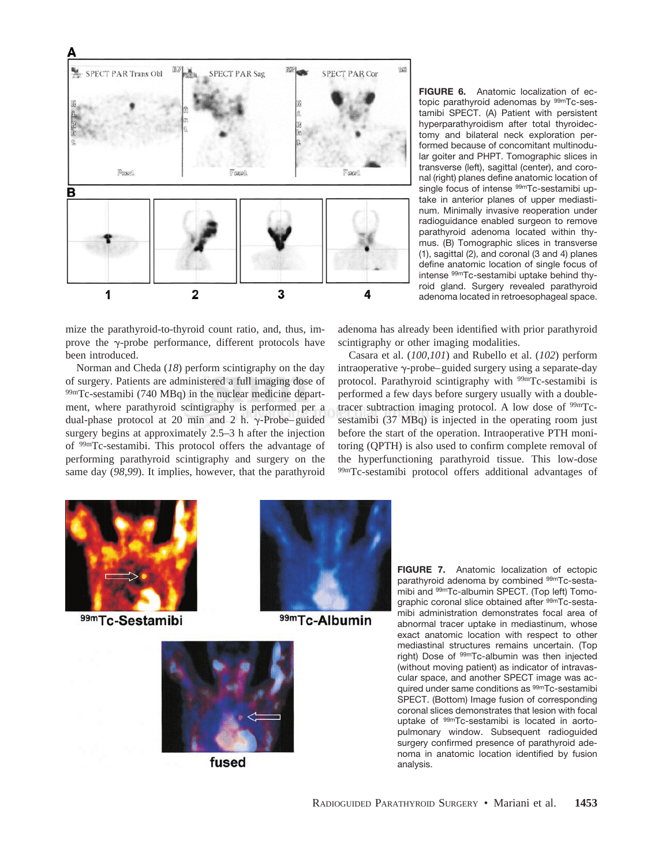

mize the parathyroid-to-thyroid count ratio, and, thus, improve the  $\gamma$ -probe performance, different protocols have been introduced.

Norman and Cheda (*18*) perform scintigraphy on the day of surgery. Patients are administered a full imaging dose of 99mTc-sestamibi (740 MBq) in the nuclear medicine department, where parathyroid scintigraphy is performed per a dual-phase protocol at 20 min and 2 h.  $\gamma$ -Probe–guided surgery begins at approximately 2.5–3 h after the injection of 99mTc-sestamibi. This protocol offers the advantage of performing parathyroid scintigraphy and surgery on the same day (*98,99*). It implies, however, that the parathyroid

**FIGURE 6.** Anatomic localization of ectopic parathyroid adenomas by <sup>99m</sup>Tc-sestamibi SPECT. (A) Patient with persistent hyperparathyroidism after total thyroidectomy and bilateral neck exploration performed because of concomitant multinodular goiter and PHPT. Tomographic slices in transverse (left), sagittal (center), and coronal (right) planes define anatomic location of single focus of intense <sup>99m</sup>Tc-sestamibi uptake in anterior planes of upper mediastinum. Minimally invasive reoperation under radioguidance enabled surgeon to remove parathyroid adenoma located within thymus. (B) Tomographic slices in transverse (1), sagittal (2), and coronal (3 and 4) planes define anatomic location of single focus of intense 99mTc-sestamibi uptake behind thyroid gland. Surgery revealed parathyroid adenoma located in retroesophageal space.

adenoma has already been identified with prior parathyroid scintigraphy or other imaging modalities.

Casara et al. (*100,101*) and Rubello et al. (*102*) perform intraoperative  $\gamma$ -probe–guided surgery using a separate-day protocol. Parathyroid scintigraphy with 99mTc-sestamibi is performed a few days before surgery usually with a doubletracer subtraction imaging protocol. A low dose of  $99mTc$ sestamibi (37 MBq) is injected in the operating room just before the start of the operation. Intraoperative PTH monitoring (QPTH) is also used to confirm complete removal of the hyperfunctioning parathyroid tissue. This low-dose 99mTc-sestamibi protocol offers additional advantages of



99mTc-Sestamibi



99mTc-Albumin



fused

**FIGURE 7.** Anatomic localization of ectopic parathyroid adenoma by combined 99mTc-sestamibi and 99mTc-albumin SPECT. (Top left) Tomographic coronal slice obtained after <sup>99m</sup>Tc-sestamibi administration demonstrates focal area of abnormal tracer uptake in mediastinum, whose exact anatomic location with respect to other mediastinal structures remains uncertain. (Top right) Dose of 99mTc-albumin was then injected (without moving patient) as indicator of intravascular space, and another SPECT image was acquired under same conditions as <sup>99m</sup>Tc-sestamibi SPECT. (Bottom) Image fusion of corresponding coronal slices demonstrates that lesion with focal uptake of 99mTc-sestamibi is located in aortopulmonary window. Subsequent radioguided surgery confirmed presence of parathyroid adenoma in anatomic location identified by fusion analysis.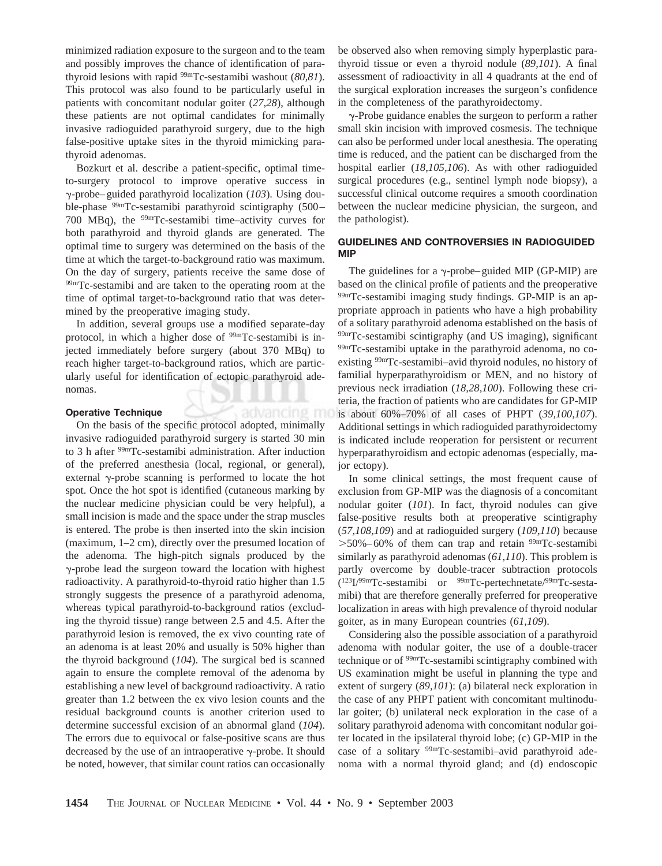minimized radiation exposure to the surgeon and to the team and possibly improves the chance of identification of parathyroid lesions with rapid 99mTc-sestamibi washout (*80,81*). This protocol was also found to be particularly useful in patients with concomitant nodular goiter (*27,28*), although these patients are not optimal candidates for minimally invasive radioguided parathyroid surgery, due to the high false-positive uptake sites in the thyroid mimicking parathyroid adenomas.

Bozkurt et al. describe a patient-specific, optimal timeto-surgery protocol to improve operative success in -probe–guided parathyroid localization (*103*). Using double-phase 99mTc-sestamibi parathyroid scintigraphy (500– 700 MBq), the  $99m$ Tc-sestamibi time–activity curves for both parathyroid and thyroid glands are generated. The optimal time to surgery was determined on the basis of the time at which the target-to-background ratio was maximum. On the day of surgery, patients receive the same dose of 99mTc-sestamibi and are taken to the operating room at the time of optimal target-to-background ratio that was determined by the preoperative imaging study.

In addition, several groups use a modified separate-day protocol, in which a higher dose of <sup>99mT</sup>c-sestamibi is injected immediately before surgery (about 370 MBq) to reach higher target-to-background ratios, which are particularly useful for identification of ectopic parathyroid adenomas.

advancing mo

## **Operative Technique**

On the basis of the specific protocol adopted, minimally invasive radioguided parathyroid surgery is started 30 min to 3 h after 99mTc-sestamibi administration. After induction of the preferred anesthesia (local, regional, or general), external  $\gamma$ -probe scanning is performed to locate the hot spot. Once the hot spot is identified (cutaneous marking by the nuclear medicine physician could be very helpful), a small incision is made and the space under the strap muscles is entered. The probe is then inserted into the skin incision (maximum, 1–2 cm), directly over the presumed location of the adenoma. The high-pitch signals produced by the  $\gamma$ -probe lead the surgeon toward the location with highest radioactivity. A parathyroid-to-thyroid ratio higher than 1.5 strongly suggests the presence of a parathyroid adenoma, whereas typical parathyroid-to-background ratios (excluding the thyroid tissue) range between 2.5 and 4.5. After the parathyroid lesion is removed, the ex vivo counting rate of an adenoma is at least 20% and usually is 50% higher than the thyroid background (*104*). The surgical bed is scanned again to ensure the complete removal of the adenoma by establishing a new level of background radioactivity. A ratio greater than 1.2 between the ex vivo lesion counts and the residual background counts is another criterion used to determine successful excision of an abnormal gland (*104*). The errors due to equivocal or false-positive scans are thus decreased by the use of an intraoperative  $\gamma$ -probe. It should be noted, however, that similar count ratios can occasionally

be observed also when removing simply hyperplastic parathyroid tissue or even a thyroid nodule (*89,101*). A final assessment of radioactivity in all 4 quadrants at the end of the surgical exploration increases the surgeon's confidence in the completeness of the parathyroidectomy.

 $\gamma$ -Probe guidance enables the surgeon to perform a rather small skin incision with improved cosmesis. The technique can also be performed under local anesthesia. The operating time is reduced, and the patient can be discharged from the hospital earlier (*18,105,106*). As with other radioguided surgical procedures (e.g., sentinel lymph node biopsy), a successful clinical outcome requires a smooth coordination between the nuclear medicine physician, the surgeon, and the pathologist).

# **GUIDELINES AND CONTROVERSIES IN RADIOGUIDED MIP**

The guidelines for a  $\gamma$ -probe–guided MIP (GP-MIP) are based on the clinical profile of patients and the preoperative 99mTc-sestamibi imaging study findings. GP-MIP is an appropriate approach in patients who have a high probability of a solitary parathyroid adenoma established on the basis of 99mTc-sestamibi scintigraphy (and US imaging), significant 99mTc-sestamibi uptake in the parathyroid adenoma, no coexisting 99mTc-sestamibi–avid thyroid nodules, no history of familial hyperparathyroidism or MEN, and no history of previous neck irradiation (*18,28,100*). Following these criteria, the fraction of patients who are candidates for GP-MIP is about 60%–70% of all cases of PHPT (*39,100,107*). Additional settings in which radioguided parathyroidectomy is indicated include reoperation for persistent or recurrent hyperparathyroidism and ectopic adenomas (especially, major ectopy).

In some clinical settings, the most frequent cause of exclusion from GP-MIP was the diagnosis of a concomitant nodular goiter (*101*). In fact, thyroid nodules can give false-positive results both at preoperative scintigraphy (*57,108,109*) and at radioguided surgery (*109,110*) because  $> 50\% - 60\%$  of them can trap and retain  $\frac{99 \text{m}}{2}$ Tc-sestamibi similarly as parathyroid adenomas (*61,110*). This problem is partly overcome by double-tracer subtraction protocols  $(123I)^{99m}$ Tc-sestamibi or  $^{99m}$ Tc-pertechnetate/ $^{99m}$ Tc-sestamibi) that are therefore generally preferred for preoperative localization in areas with high prevalence of thyroid nodular goiter, as in many European countries (*61,109*).

Considering also the possible association of a parathyroid adenoma with nodular goiter, the use of a double-tracer technique or of 99mTc-sestamibi scintigraphy combined with US examination might be useful in planning the type and extent of surgery (*89,101*): (a) bilateral neck exploration in the case of any PHPT patient with concomitant multinodular goiter; (b) unilateral neck exploration in the case of a solitary parathyroid adenoma with concomitant nodular goiter located in the ipsilateral thyroid lobe; (c) GP-MIP in the case of a solitary 99mTc-sestamibi–avid parathyroid adenoma with a normal thyroid gland; and (d) endoscopic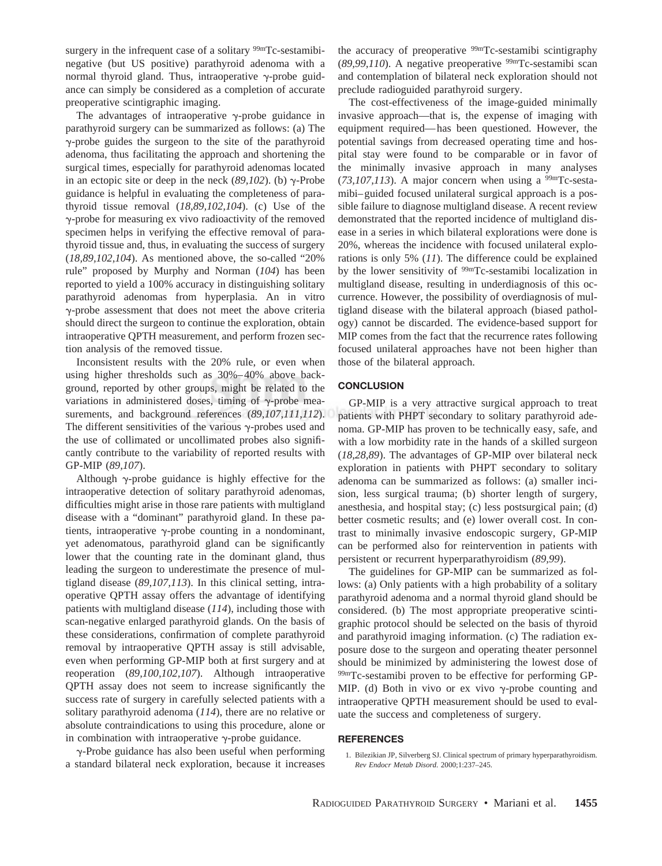surgery in the infrequent case of a solitary <sup>99m</sup>Tc-sestamibinegative (but US positive) parathyroid adenoma with a normal thyroid gland. Thus, intraoperative  $\gamma$ -probe guidance can simply be considered as a completion of accurate preoperative scintigraphic imaging.

The advantages of intraoperative  $\gamma$ -probe guidance in parathyroid surgery can be summarized as follows: (a) The  $\gamma$ -probe guides the surgeon to the site of the parathyroid adenoma, thus facilitating the approach and shortening the surgical times, especially for parathyroid adenomas located in an ectopic site or deep in the neck  $(89,102)$ . (b)  $\gamma$ -Probe guidance is helpful in evaluating the completeness of parathyroid tissue removal (*18,89,102,104*). (c) Use of the -probe for measuring ex vivo radioactivity of the removed specimen helps in verifying the effective removal of parathyroid tissue and, thus, in evaluating the success of surgery (*18,89,102,104*). As mentioned above, the so-called "20% rule" proposed by Murphy and Norman (*104*) has been reported to yield a 100% accuracy in distinguishing solitary parathyroid adenomas from hyperplasia. An in vitro  $\gamma$ -probe assessment that does not meet the above criteria should direct the surgeon to continue the exploration, obtain intraoperative QPTH measurement, and perform frozen section analysis of the removed tissue.

Inconsistent results with the 20% rule, or even when using higher thresholds such as 30%–40% above background, reported by other groups, might be related to the variations in administered doses, timing of  $\gamma$ -probe measurements, and background references (*89,107,111,112*). The different sensitivities of the various  $\gamma$ -probes used and the use of collimated or uncollimated probes also significantly contribute to the variability of reported results with GP-MIP (*89,107*).

Although  $\gamma$ -probe guidance is highly effective for the intraoperative detection of solitary parathyroid adenomas, difficulties might arise in those rare patients with multigland disease with a "dominant" parathyroid gland. In these patients, intraoperative  $\gamma$ -probe counting in a nondominant, yet adenomatous, parathyroid gland can be significantly lower that the counting rate in the dominant gland, thus leading the surgeon to underestimate the presence of multigland disease (*89,107,113*). In this clinical setting, intraoperative QPTH assay offers the advantage of identifying patients with multigland disease (*114*), including those with scan-negative enlarged parathyroid glands. On the basis of these considerations, confirmation of complete parathyroid removal by intraoperative QPTH assay is still advisable, even when performing GP-MIP both at first surgery and at reoperation (*89,100,102,107*). Although intraoperative QPTH assay does not seem to increase significantly the success rate of surgery in carefully selected patients with a solitary parathyroid adenoma (*114*), there are no relative or absolute contraindications to using this procedure, alone or in combination with intraoperative  $\gamma$ -probe guidance.

 $\gamma$ -Probe guidance has also been useful when performing a standard bilateral neck exploration, because it increases the accuracy of preoperative <sup>99mT</sup>c-sestamibi scintigraphy (*89,99,110*). A negative preoperative 99mTc-sestamibi scan and contemplation of bilateral neck exploration should not preclude radioguided parathyroid surgery.

The cost-effectiveness of the image-guided minimally invasive approach—that is, the expense of imaging with equipment required—has been questioned. However, the potential savings from decreased operating time and hospital stay were found to be comparable or in favor of the minimally invasive approach in many analyses  $(73,107,113)$ . A major concern when using a <sup>99m</sup>Tc-sestamibi–guided focused unilateral surgical approach is a possible failure to diagnose multigland disease. A recent review demonstrated that the reported incidence of multigland disease in a series in which bilateral explorations were done is 20%, whereas the incidence with focused unilateral explorations is only 5% (*11*). The difference could be explained by the lower sensitivity of <sup>99m</sup>Tc-sestamibi localization in multigland disease, resulting in underdiagnosis of this occurrence. However, the possibility of overdiagnosis of multigland disease with the bilateral approach (biased pathology) cannot be discarded. The evidence-based support for MIP comes from the fact that the recurrence rates following focused unilateral approaches have not been higher than those of the bilateral approach.

## **CONCLUSION**

GP-MIP is a very attractive surgical approach to treat patients with PHPT secondary to solitary parathyroid adenoma. GP-MIP has proven to be technically easy, safe, and with a low morbidity rate in the hands of a skilled surgeon (*18,28,89*). The advantages of GP-MIP over bilateral neck exploration in patients with PHPT secondary to solitary adenoma can be summarized as follows: (a) smaller incision, less surgical trauma; (b) shorter length of surgery, anesthesia, and hospital stay; (c) less postsurgical pain; (d) better cosmetic results; and (e) lower overall cost. In contrast to minimally invasive endoscopic surgery, GP-MIP can be performed also for reintervention in patients with persistent or recurrent hyperparathyroidism (*89,99*).

The guidelines for GP-MIP can be summarized as follows: (a) Only patients with a high probability of a solitary parathyroid adenoma and a normal thyroid gland should be considered. (b) The most appropriate preoperative scintigraphic protocol should be selected on the basis of thyroid and parathyroid imaging information. (c) The radiation exposure dose to the surgeon and operating theater personnel should be minimized by administering the lowest dose of 99mTc-sestamibi proven to be effective for performing GP-MIP. (d) Both in vivo or ex vivo  $\gamma$ -probe counting and intraoperative QPTH measurement should be used to evaluate the success and completeness of surgery.

## **REFERENCES**

<sup>1.</sup> Bilezikian JP, Silverberg SJ. Clinical spectrum of primary hyperparathyroidism. *Rev Endocr Metab Disord.* 2000;1:237–245.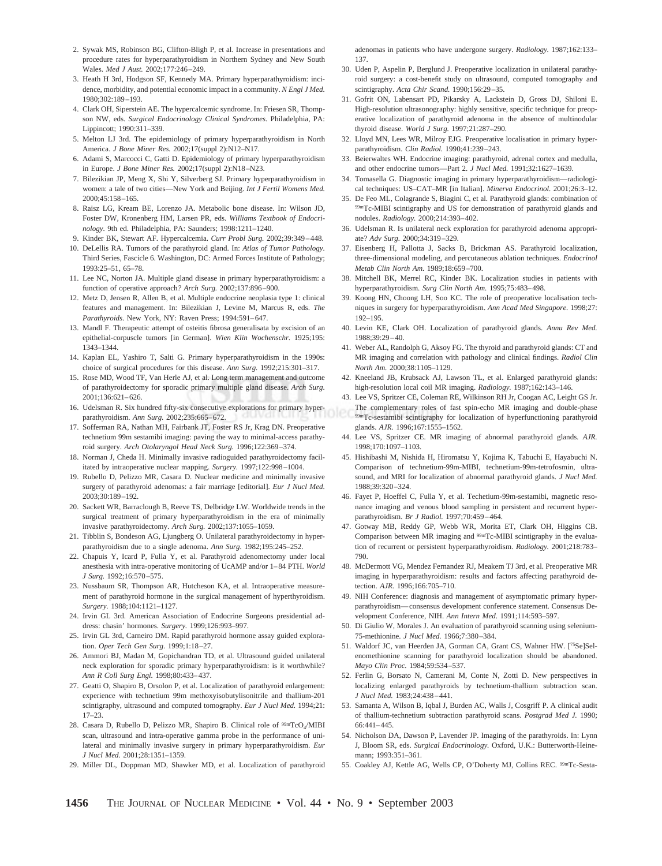- 2. Sywak MS, Robinson BG, Clifton-Bligh P, et al. Increase in presentations and procedure rates for hyperparathyroidism in Northern Sydney and New South Wales. *Med J Aust.* 2002;177:246–249.
- 3. Heath H 3rd, Hodgson SF, Kennedy MA. Primary hyperparathyroidism: incidence, morbidity, and potential economic impact in a community. *N Engl J Med.* 1980;302:189–193.
- 4. Clark OH, Siperstein AE. The hypercalcemic syndrome. In: Friesen SR, Thompson NW, eds. *Surgical Endocrinology Clinical Syndromes.* Philadelphia, PA: Lippincott; 1990:311–339.
- 5. Melton LJ 3rd. The epidemiology of primary hyperparathyroidism in North America. *J Bone Miner Res.* 2002;17(suppl 2):N12–N17.
- 6. Adami S, Marcocci C, Gatti D. Epidemiology of primary hyperparathyroidism in Europe. *J Bone Miner Res.* 2002;17(suppl 2):N18–N23.
- 7. Bilezikian JP, Meng X, Shi Y, Silverberg SJ. Primary hyperparathyroidism in women: a tale of two cities—New York and Beijing. *Int J Fertil Womens Med.* 2000;45:158–165.
- 8. Raisz LG, Kream BE, Lorenzo JA. Metabolic bone disease. In: Wilson JD, Foster DW, Kronenberg HM, Larsen PR, eds. *Williams Textbook of Endocrinology.* 9th ed. Philadelphia, PA: Saunders; 1998:1211–1240.
- 9. Kinder BK, Stewart AF. Hypercalcemia. *Curr Probl Surg.* 2002;39:349–448.
- 10. DeLellis RA. Tumors of the parathyroid gland. In: *Atlas of Tumor Pathology.* Third Series, Fascicle 6. Washington, DC: Armed Forces Institute of Pathology; 1993:25–51, 65–78.
- 11. Lee NC, Norton JA. Multiple gland disease in primary hyperparathyroidism: a function of operative approach*? Arch Surg.* 2002;137:896–900.
- 12. Metz D, Jensen R, Allen B, et al. Multiple endocrine neoplasia type 1: clinical features and management. In: Bilezikian J, Levine M, Marcus R, eds. *The Parathyroids.* New York, NY: Raven Press; 1994:591–647.
- 13. Mandl F. Therapeutic attempt of osteitis fibrosa generalisata by excision of an epithelial-corpuscle tumors [in German]. *Wien Klin Wochenschr.* 1925;195: 1343–1344.
- 14. Kaplan EL, Yashiro T, Salti G. Primary hyperparathyroidism in the 1990s: choice of surgical procedures for this disease. *Ann Surg.* 1992;215:301–317.
- 15. Rose MD, Wood TF, Van Herle AJ, et al. Long term management and outcome of parathyroidectomy for sporadic primary multiple gland disease. *Arch Surg.* 2001;136:621–626.
- 16. Udelsman R. Six hundred fifty-six consecutive explorations for primary hyperparathyroidism. *Ann Surg.* 2002;235:665–672.
- 17. Sofferman RA, Nathan MH, Fairbank JT, Foster RS Jr, Krag DN. Preoperative technetium 99m sestamibi imaging: paving the way to minimal-access parathyroid surgery. *Arch Otolaryngol Head Neck Surg.* 1996;122:369–374.
- 18. Norman J, Cheda H. Minimally invasive radioguided parathyroidectomy facilitated by intraoperative nuclear mapping. *Surgery.* 1997;122:998–1004.
- 19. Rubello D, Pelizzo MR, Casara D. Nuclear medicine and minimally invasive surgery of parathyroid adenomas: a fair marriage [editorial]. *Eur J Nucl Med.* 2003;30:189–192.
- 20. Sackett WR, Barraclough B, Reeve TS, Delbridge LW. Worldwide trends in the surgical treatment of primary hyperparathyroidism in the era of minimally invasive parathyroidectomy. *Arch Surg.* 2002;137:1055–1059.
- 21. Tibblin S, Bondeson AG, Ljungberg O. Unilateral parathyroidectomy in hyperparathyroidism due to a single adenoma. *Ann Surg.* 1982;195:245–252.
- 22. Chapuis Y, Icard P, Fulla Y, et al. Parathyroid adenomectomy under local anesthesia with intra-operative monitoring of UcAMP and/or 1–84 PTH. *World J Surg.* 1992;16:570–575.
- 23. Nussbaum SR, Thompson AR, Hutcheson KA, et al. Intraoperative measurement of parathyroid hormone in the surgical management of hyperthyroidism. *Surgery.* 1988;104:1121–1127.
- 24. Irvin GL 3rd. American Association of Endocrine Surgeons presidential address: chasin' hormones. *Surgery.* 1999;126:993–997.
- 25. Irvin GL 3rd, Carneiro DM. Rapid parathyroid hormone assay guided exploration. *Oper Tech Gen Surg.* 1999;1:18–27.
- 26. Ammori BJ, Madan M, Gopichandran TD, et al. Ultrasound guided unilateral neck exploration for sporadic primary hyperparathyroidism: is it worthwhile? *Ann R Coll Surg Engl.* 1998;80:433–437.
- 27. Geatti O, Shapiro B, Orsolon P, et al. Localization of parathyroid enlargement: experience with technetium 99m methoxyisobutylisonitrile and thallium-201 scintigraphy, ultrasound and computed tomography. *Eur J Nucl Med.* 1994;21: 17–23.
- 28. Casara D, Rubello D, Pelizzo MR, Shapiro B. Clinical role of <sup>99mTcO4/MIBI</sup> scan, ultrasound and intra-operative gamma probe in the performance of unilateral and minimally invasive surgery in primary hyperparathyroidism. *Eur J Nucl Med.* 2001;28:1351–1359.
- 29. Miller DL, Doppman MD, Shawker MD, et al. Localization of parathyroid

adenomas in patients who have undergone surgery. *Radiology.* 1987;162:133– 137.

- 30. Uden P, Aspelin P, Berglund J. Preoperative localization in unilateral parathyroid surgery: a cost-benefit study on ultrasound, computed tomography and scintigraphy. *Acta Chir Scand.* 1990;156:29–35.
- 31. Gofrit ON, Labensart PD, Pikarsky A, Lackstein D, Gross DJ, Shiloni E. High-resolution ultrasonography: highly sensitive, specific technique for preoperative localization of parathyroid adenoma in the absence of multinodular thyroid disease. *World J Surg.* 1997;21:287–290.
- 32. Lloyd MN, Lees WR, Milroy EJG. Preoperative localisation in primary hyperparathyroidism. *Clin Radiol.* 1990;41:239–243.
- 33. Beierwaltes WH. Endocrine imaging: parathyroid, adrenal cortex and medulla, and other endocrine tumors—Part 2. *J Nucl Med.* 1991;32:1627–1639.
- 34. Tomasella G. Diagnostic imaging in primary hyperparathyroidism—radiological techniques: US–CAT–MR [in Italian]. *Minerva Endocrinol.* 2001;26:3–12.
- 35. De Feo ML, Colagrande S, Biagini C, et al. Parathyroid glands: combination of 99mTc-MIBI scintigraphy and US for demonstration of parathyroid glands and nodules. *Radiology.* 2000;214:393–402.
- 36. Udelsman R. Is unilateral neck exploration for parathyroid adenoma appropriate? *Adv Surg.* 2000;34:319–329.
- 37. Eisenberg H, Pallotta J, Sacks B, Brickman AS. Parathyroid localization, three-dimensional modeling, and percutaneous ablation techniques. *Endocrinol Metab Clin North Am.* 1989;18:659–700.
- 38. Mitchell BK, Merrel RC, Kinder BK. Localization studies in patients with hyperparathyroidism. *Surg Clin North Am.* 1995;75:483–498.
- 39. Koong HN, Choong LH, Soo KC. The role of preoperative localisation techniques in surgery for hyperparathyroidism. *Ann Acad Med Singapore.* 1998;27: 192–195.
- 40. Levin KE, Clark OH. Localization of parathyroid glands. *Annu Rev Med.* 1988;39:29–40.
- 41. Weber AL, Randolph G, Aksoy FG. The thyroid and parathyroid glands: CT and MR imaging and correlation with pathology and clinical findings. *Radiol Clin North Am.* 2000;38:1105–1129.
- 42. Kneeland JB, Krubsack AJ, Lawson TL, et al. Enlarged parathyroid glands: high-resolution local coil MR imaging. *Radiology.* 1987;162:143–146.
- 43. Lee VS, Spritzer CE, Coleman RE, Wilkinson RH Jr, Coogan AC, Leight GS Jr.
- The complementary roles of fast spin-echo MR imaging and double-phase 99mTc-sestamibi scintigraphy for localization of hyperfunctioning parathyroid glands. *AJR.* 1996;167:1555–1562.
- 44. Lee VS, Spritzer CE. MR imaging of abnormal parathyroid glands. *AJR.* 1998;170:1097–1103.
- 45. Hishibashi M, Nishida H, Hiromatsu Y, Kojima K, Tabuchi E, Hayabuchi N. Comparison of technetium-99m-MIBI, technetium-99m-tetrofosmin, ultrasound, and MRI for localization of abnormal parathyroid glands. *J Nucl Med.* 1988;39:320–324.
- 46. Fayet P, Hoeffel C, Fulla Y, et al. Techetium-99m-sestamibi, magnetic resonance imaging and venous blood sampling in persistent and recurrent hyperparathyroidism. *Br J Radiol.* 1997;70:459–464.
- 47. Gotway MB, Reddy GP, Webb WR, Morita ET, Clark OH, Higgins CB. Comparison between MR imaging and 99mTc-MIBI scintigraphy in the evaluation of recurrent or persistent hyperparathyroidism. *Radiology.* 2001;218:783– 790.
- 48. McDermott VG, Mendez Fernandez RJ, Meakem TJ 3rd, et al. Preoperative MR imaging in hyperparathyroidism: results and factors affecting parathyroid detection. *AJR.* 1996;166:705–710.
- 49. NIH Conference: diagnosis and management of asymptomatic primary hyperparathyroidism—consensus development conference statement. Consensus Development Conference, NIH. *Ann Intern Med*. 1991;114:593–597.
- 50. Di Giulio W, Morales J. An evaluation of parathyroid scanning using selenium-75-methionine. *J Nucl Med.* 1966;7:380–384.
- 51. Waldorf JC, van Heerden JA, Gorman CA, Grant CS, Wahner HW. [75Se]Selenomethionine scanning for parathyroid localization should be abandoned. *Mayo Clin Proc.* 1984;59:534–537.
- 52. Ferlin G, Borsato N, Camerani M, Conte N, Zotti D. New perspectives in localizing enlarged parathyroids by technetium-thallium subtraction scan. *J Nucl Med.* 1983;24:438–441.
- 53. Samanta A, Wilson B, Iqbal J, Burden AC, Walls J, Cosgriff P. A clinical audit of thallium-technetium subtraction parathyroid scans. *Postgrad Med J.* 1990; 66:441–445.
- 54. Nicholson DA, Dawson P, Lavender JP. Imaging of the parathyroids. In: Lynn J, Bloom SR, eds. *Surgical Endocrinology.* Oxford, U.K.: Butterworth-Heinemann; 1993:351–361.
- 55. Coakley AJ, Kettle AG, Wells CP, O'Doherty MJ, Collins REC. 99mTc-Sesta-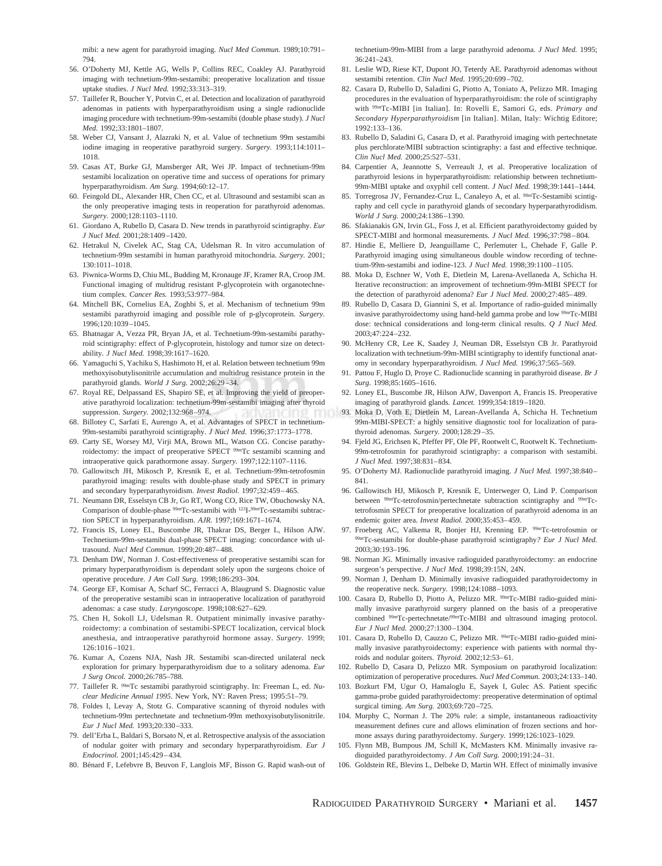mibi: a new agent for parathyroid imaging. *Nucl Med Commun.* 1989;10:791– 794.

- 56. O'Doherty MJ, Kettle AG, Wells P, Collins REC, Coakley AJ. Parathyroid imaging with technetium-99m-sestamibi: preoperative localization and tissue uptake studies. *J Nucl Med.* 1992;33:313–319.
- 57. Taillefer R, Boucher Y, Potvin C, et al. Detection and localization of parathyroid adenomas in patients with hyperparathyroidism using a single radionuclide imaging procedure with technetium-99m-sestamibi (double phase study). *J Nucl Med.* 1992;33:1801–1807.
- 58. Weber CJ, Vansant J, Alazraki N, et al. Value of technetium 99m sestamibi iodine imaging in reoperative parathyroid surgery. *Surgery.* 1993;114:1011– 1018.
- 59. Casas AT, Burke GJ, Mansberger AR, Wei JP. Impact of technetium-99m sestamibi localization on operative time and success of operations for primary hyperparathyroidism. *Am Surg.* 1994;60:12–17.
- 60. Feingold DL, Alexander HR, Chen CC, et al. Ultrasound and sestamibi scan as the only preoperative imaging tests in reoperation for parathyroid adenomas. *Surgery.* 2000;128:1103–1110.
- 61. Giordano A, Rubello D, Casara D. New trends in parathyroid scintigraphy. *Eur J Nucl Med.* 2001;28:1409–1420.
- 62. Hetrakul N, Civelek AC, Stag CA, Udelsman R. In vitro accumulation of technetium-99m sestamibi in human parathyroid mitochondria. *Surgery.* 2001; 130:1011–1018.
- 63. Piwnica-Worms D, Chiu ML, Budding M, Kronauge JF, Kramer RA, Croop JM. Functional imaging of multidrug resistant P-glycoprotein with organotechnetium complex. *Cancer Res.* 1993;53:977–984.
- 64. Mitchell BK, Cornelius EA, Zoghbi S, et al. Mechanism of technetium 99m sestamibi parathyroid imaging and possible role of p-glycoprotein. *Surgery.* 1996;120:1039–1045.
- 65. Bhatnagar A, Vezza PR, Bryan JA, et al. Technetium-99m-sestamibi parathyroid scintigraphy: effect of P-glycoprotein, histology and tumor size on detectability. *J Nucl Med.* 1998;39:1617–1620.
- 66. Yamaguchi S, Yachiku S, Hashimoto H, et al. Relation between technetium 99m methoxyisobutylisonitrile accumulation and multidrug resistance protein in the parathyroid glands. *World J Surg.* 2002;26:29–34.
- 67. Royal RE, Delpassand ES, Shapiro SE, et al. Improving the yield of preoperative parathyroid localization: technetium-99m-sestamibi imaging after thyroid suppression. *Surgery.* 2002;132:968–974.
- 68. Billotey C, Sarfati E, Aurengo A, et al. Advantages of SPECT in technetium-99m-sestamibi parathyroid scintigraphy. *J Nucl Med.* 1996;37:1773–1778.
- 69. Carty SE, Worsey MJ, Virji MA, Brown ML, Watson CG. Concise parathyroidectomy: the impact of preoperative SPECT <sup>99m</sup>Tc sestamibi scanning and intraoperative quick parathormone assay. *Surgery.* 1997;122:1107–1116.
- 70. Gallowitsch JH, Mikosch P, Kresnik E, et al. Technetium-99m-tetrofosmin parathyroid imaging: results with double-phase study and SPECT in primary and secondary hyperparathyroidism. *Invest Radiol.* 1997;32:459–465.
- 71. Neumann DR, Esselstyn CB Jr, Go RT, Wong CO, Rice TW, Obuchowsky NA. Comparison of double-phase 99mTc-sestamibi with 123I-99mTc-sestamibi subtraction SPECT in hyperparathyroidism. *AJR.* 1997;169:1671–1674.
- 72. Francis IS, Loney EL, Buscombe JR, Thakrar DS, Berger L, Hilson AJW. Technetium-99m-sestamibi dual-phase SPECT imaging: concordance with ultrasound. *Nucl Med Commun.* 1999;20:487–488.
- 73. Denham DW, Norman J. Cost-effectiveness of preoperative sestamibi scan for primary hyperparathyroidism is dependant solely upon the surgeons choice of operative procedure. *J Am Coll Surg.* 1998;186:293–304.
- 74. George EF, Komisar A, Scharf SC, Ferracci A, Blaugrund S. Diagnostic value of the preoperative sestamibi scan in intraoperative localization of parathyroid adenomas: a case study. *Laryngoscope.* 1998;108:627–629.
- 75. Chen H, Sokoll LJ, Udelsman R. Outpatient minimally invasive parathyroidectomy: a combination of sestamibi-SPECT localization, cervical block anesthesia, and intraoperative parathyroid hormone assay. *Surgery.* 1999; 126:1016 –1021.
- 76. Kumar A, Cozens NJA, Nash JR. Sestamibi scan-directed unilateral neck exploration for primary hyperparathyroidism due to a solitary adenoma. *Eur J Surg Oncol.* 2000;26:785–788.
- 77. Taillefer R. 99mTc sestamibi parathyroid scintigraphy. In: Freeman L, ed. *Nuclear Medicine Annual 1995.* New York, NY: Raven Press; 1995:51–79.
- 78. Foldes I, Levay A, Stotz G. Comparative scanning of thyroid nodules with technetium-99m pertechnetate and technetium-99m methoxyisobutylisonitrile. *Eur J Nucl Med.* 1993;20:330–333.
- 79. dell'Erba L, Baldari S, Borsato N, et al. Retrospective analysis of the association of nodular goiter with primary and secondary hyperparathyroidism. *Eur J Endocrinol.* 2001;145:429–434.
- 80. Bénard F, Lefebvre B, Beuvon F, Langlois MF, Bisson G. Rapid wash-out of

technetium-99m-MIBI from a large parathyroid adenoma. *J Nucl Med.* 1995; 36:241–243.

- 81. Leslie WD, Riese KT, Dupont JO, Teterdy AE. Parathyroid adenomas without sestamibi retention. *Clin Nucl Med.* 1995;20:699–702.
- 82. Casara D, Rubello D, Saladini G, Piotto A, Toniato A, Pelizzo MR. Imaging procedures in the evaluation of hyperparathyroidism: the role of scintigraphy with 99mTc-MIBI [in Italian]. In: Rovelli E, Samori G, eds. *Primary and Secondary Hyperparathyroidism* [in Italian]. Milan, Italy: Wichtig Editore; 1992:133–136.
- 83. Rubello D, Saladini G, Casara D, et al. Parathyroid imaging with pertechnetate plus perchlorate/MIBI subtraction scintigraphy: a fast and effective technique. *Clin Nucl Med.* 2000;25:527–531.
- 84. Carpentier A, Jeannotte S, Verreault J, et al. Preoperative localization of parathyroid lesions in hyperparathyroidism: relationship between technetium-99m-MIBI uptake and oxyphil cell content. *J Nucl Med.* 1998;39:1441–1444.
- 85. Torregrosa JV, Fernandez-Cruz L, Canaleyo A, et al. 99mTc-Sestamibi scintigraphy and cell cycle in parathyroid glands of secondary hyperparathyrodidism. *World J Surg.* 2000;24:1386–1390.
- 86. Sfakianakis GN, Irvin GL, Foss J, et al. Efficient parathyroidectomy guided by SPECT-MIBI and hormonal measurements. *J Nucl Med.* 1996;37:798–804.
- 87. Hindie E, Melliere D, Jeanguillame C, Perlemuter L, Chehade F, Galle P. Parathyroid imaging using simultaneous double window recording of technetium-99m-sestamibi and iodine-123. *J Nucl Med.* 1998;39:1100–1105.
- 88. Moka D, Eschner W, Voth E, Dietlein M, Larena-Avellaneda A, Schicha H. Iterative reconstruction: an improvement of technetium-99m-MIBI SPECT for the detection of parathyroid adenoma? *Eur J Nucl Med.* 2000;27:485–489.
- 89. Rubello D, Casara D, Giannini S, et al. Importance of radio-guided minimally invasive parathyroidectomy using hand-held gamma probe and low 99mTc-MIBI dose: technical considerations and long-term clinical results. *Q J Nucl Med.* 2003;47:224–232.
- 90. McHenry CR, Lee K, Saadey J, Neuman DR, Esselstyn CB Jr. Parathyroid localization with technetium-99m-MIBI scintigraphy to identify functional anatomy in secondary hyperparathyroidism. *J Nucl Med.* 1996;37:565–569.
- 91. Pattou F, Huglo D, Proye C. Radionuclide scanning in parathyroid disease. *Br J Surg.* 1998;85:1605–1616.
- 92. Loney EL, Buscombe JR, Hilson AJW, Davenport A, Francis IS. Preoperative imaging of parathyroid glands. *Lancet.* 1999;354:1819–1820.
- 93. Moka D, Voth E, Dietlein M, Larean-Avellanda A, Schicha H. Technetium 99m-MIBI-SPECT: a highly sensitive diagnostic tool for localization of parathyroid adenomas. *Surgery.* 2000;128:29–35.
- 94. Fjeld JG, Erichsen K, Pfeffer PF, Ole PF, Rootwelt C, Rootwelt K. Technetium-99m-tetrofosmin for parathyroid scintigraphy: a comparison with sestamibi. *J Nucl Med.* 1997;38:831–834.
- 95. O'Doherty MJ. Radionuclide parathyroid imaging. *J Nucl Med.* 1997;38:840– 841.
- 96. Gallowitsch HJ, Mikosch P, Kresnik E, Unterweger O, Lind P. Comparison between <sup>99m</sup>Tc-tetrofosmin/pertechnetate subtraction scintigraphy and <sup>99m</sup>Tctetrofosmin SPECT for preoperative localization of parathyroid adenoma in an endemic goiter area. *Invest Radiol.* 2000;35:453–459.
- 97. Froeberg AC, Valkema R, Bonjer HJ, Krenning EP. 99mTc-tetrofosmin or 99mTc-sestamibi for double-phase parathyroid scintigraphy*? Eur J Nucl Med.* 2003;30:193–196.
- 98. Norman JG. Minimally invasive radioguided parathyroidectomy: an endocrine surgeon's perspective. *J Nucl Med.* 1998;39:15N, 24N.
- 99. Norman J, Denham D. Minimally invasive radioguided parathyroidectomy in the reoperative neck. *Surgery.* 1998;124:1088–1093.
- 100. Casara D, Rubello D, Piotto A, Pelizzo MR. 99mTc-MIBI radio-guided minimally invasive parathyroid surgery planned on the basis of a preoperative combined 99mTc-pertechnetate/99mTc-MIBI and ultrasound imaging protocol. *Eur J Nucl Med.* 2000;27:1300–1304.
- 101. Casara D, Rubello D, Cauzzo C, Pelizzo MR. 99mTc-MIBI radio-guided minimally invasive parathyroidectomy: experience with patients with normal thyroids and nodular goiters. *Thyroid.* 2002;12:53–61.
- 102. Rubello D, Casara D, Pelizzo MR. Symposium on parathyroid localization: optimization of peroperative procedures. *Nucl Med Commun.* 2003;24:133–140.
- 103. Bozkurt FM, Ugur O, Hamaloglu E, Sayek I, Gulec AS. Patient specific gamma-probe guided parathyroidectomy: preoperative determination of optimal surgical timing. *Am Surg.* 2003;69:720–725.
- 104. Murphy C, Norman J. The 20% rule: a simple, instantaneous radioactivity measurement defines cure and allows elimination of frozen sections and hormone assays during parathyroidectomy. *Surgery.* 1999;126:1023–1029.
- 105. Flynn MB, Bumpous JM, Schill K, McMasters KM. Minimally invasive radioguided parathyroidectomy. *J Am Coll Surg.* 2000;191:24–31.
- 106. Goldstein RE, Blevins L, Delbeke D, Martin WH. Effect of minimally invasive